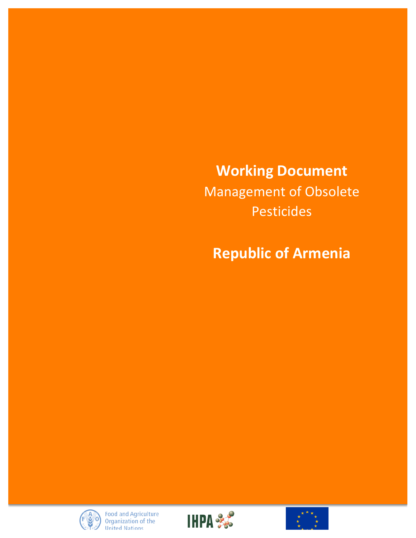**Working Document** Management of Obsolete Pesticides

**Republic of Armenia** 





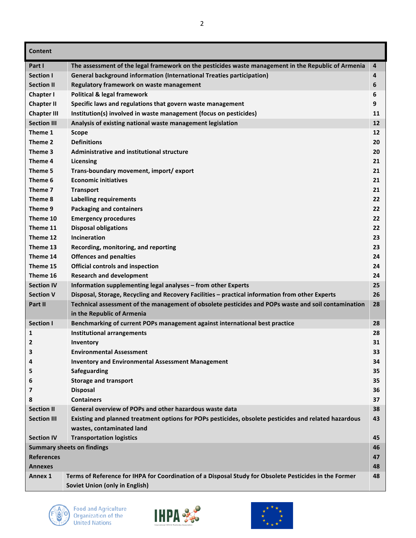| <b>Content</b>     |                                                                                                        |    |  |
|--------------------|--------------------------------------------------------------------------------------------------------|----|--|
| Part I             | The assessment of the legal framework on the pesticides waste management in the Republic of Armenia    | 4  |  |
| <b>Section I</b>   | <b>General background information (International Treaties participation)</b>                           | 4  |  |
| <b>Section II</b>  | Regulatory framework on waste management                                                               | 6  |  |
| Chapter I          | <b>Political &amp; legal framework</b>                                                                 | 6  |  |
| <b>Chapter II</b>  | Specific laws and regulations that govern waste management                                             | 9  |  |
| <b>Chapter III</b> | Institution(s) involved in waste management (focus on pesticides)                                      | 11 |  |
| <b>Section III</b> | Analysis of existing national waste management legislation                                             | 12 |  |
| Theme 1            | <b>Scope</b>                                                                                           | 12 |  |
| Theme 2            | <b>Definitions</b>                                                                                     | 20 |  |
| Theme 3            | <b>Administrative and institutional structure</b>                                                      | 20 |  |
| Theme 4            | Licensing                                                                                              | 21 |  |
| Theme 5            | Trans-boundary movement, import/export                                                                 | 21 |  |
| Theme 6            | <b>Economic initiatives</b>                                                                            | 21 |  |
| Theme 7            | <b>Transport</b>                                                                                       | 21 |  |
| Theme 8            | Labelling requirements                                                                                 | 22 |  |
| Theme 9            | <b>Packaging and containers</b>                                                                        | 22 |  |
| Theme 10           | <b>Emergency procedures</b>                                                                            | 22 |  |
| Theme 11           | <b>Disposal obligations</b>                                                                            | 22 |  |
| Theme 12           | <b>Incineration</b>                                                                                    | 23 |  |
| Theme 13           | Recording, monitoring, and reporting                                                                   | 23 |  |
| Theme 14           | <b>Offences and penalties</b>                                                                          | 24 |  |
| Theme 15           | <b>Official controls and inspection</b>                                                                | 24 |  |
| Theme 16           | <b>Research and development</b>                                                                        | 24 |  |
| <b>Section IV</b>  | Information supplementing legal analyses - from other Experts                                          | 25 |  |
| <b>Section V</b>   | Disposal, Storage, Recycling and Recovery Facilities - practical information from other Experts        | 26 |  |
| Part II            | Technical assessment of the management of obsolete pesticides and POPs waste and soil contamination    | 28 |  |
|                    | in the Republic of Armenia                                                                             |    |  |
| <b>Section I</b>   | Benchmarking of current POPs management against international best practice                            | 28 |  |
| 1                  | <b>Institutional arrangements</b>                                                                      | 28 |  |
| 2                  | Inventory                                                                                              | 31 |  |
| 3                  | <b>Environmental Assessment</b>                                                                        | 33 |  |
| 4                  | <b>Inventory and Environmental Assessment Management</b>                                               | 34 |  |
| 5                  | Safeguarding                                                                                           | 35 |  |
| 6                  | <b>Storage and transport</b>                                                                           | 35 |  |
| 7                  | <b>Disposal</b>                                                                                        | 36 |  |
| 8                  | <b>Containers</b>                                                                                      | 37 |  |
| <b>Section II</b>  | General overview of POPs and other hazardous waste data                                                | 38 |  |
| <b>Section III</b> | Existing and planned treatment options for POPs pesticides, obsolete pesticides and related hazardous  | 43 |  |
|                    | wastes, contaminated land                                                                              |    |  |
| <b>Section IV</b>  | <b>Transportation logistics</b>                                                                        | 45 |  |
|                    | <b>Summary sheets on findings</b>                                                                      | 46 |  |
| <b>References</b>  | 47                                                                                                     |    |  |
| <b>Annexes</b>     |                                                                                                        | 48 |  |
| Annex 1            | Terms of Reference for IHPA for Coordination of a Disposal Study for Obsolete Pesticides in the Former | 48 |  |
|                    | Soviet Union (only in English)                                                                         |    |  |





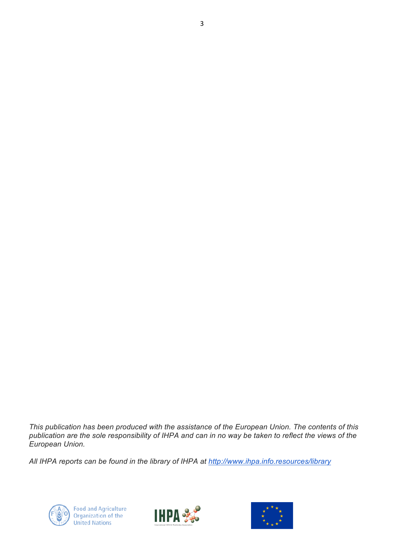*This publication has been produced with the assistance of the European Union. The contents of this publication are the sole responsibility of IHPA and can in no way be taken to reflect the views of the European Union.*

3

*All IHPA reports can be found in the library of IHPA at http://www.ihpa.info.resources/library*





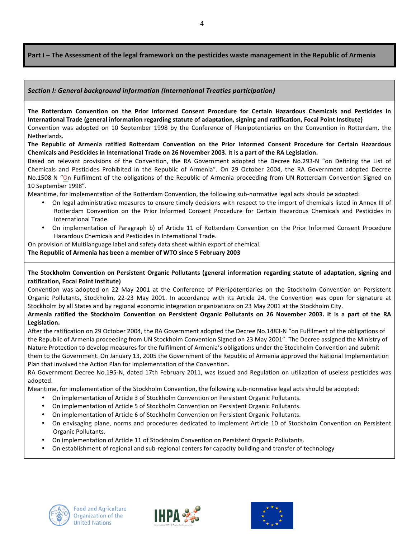Part I – The Assessment of the legal framework on the pesticides waste management in the Republic of Armenia

### **Section** *I:* General background information (International Treaties participation)

The Rotterdam Convention on the Prior Informed Consent Procedure for Certain Hazardous Chemicals and Pesticides in International Trade (general information regarding statute of adaptation, signing and ratification, Focal Point Institute) Convention was adopted on 10 September 1998 by the Conference of Plenipotentiaries on the Convention in Rotterdam, the Netherlands.

The Republic of Armenia ratified Rotterdam Convention on the Prior Informed Consent Procedure for Certain Hazardous Chemicals and Pesticides in International Trade on 26 November 2003. It is a part of the RA Legislation.

Based on relevant provisions of the Convention, the RA Government adopted the Decree No.293-N "on Defining the List of Chemicals and Pesticides Prohibited in the Republic of Armenia". On 29 October 2004, the RA Government adopted Decree No.1508-N "On Fulfilment of the obligations of the Republic of Armenia proceeding from UN Rotterdam Convention Signed on 10 September 1998".

Meantime, for implementation of the Rotterdam Convention, the following sub-normative legal acts should be adopted:

- On legal administrative measures to ensure timely decisions with respect to the import of chemicals listed in Annex III of Rotterdam Convention on the Prior Informed Consent Procedure for Certain Hazardous Chemicals and Pesticides in International Trade.
- On implementation of Paragraph b) of Article 11 of Rotterdam Convention on the Prior Informed Consent Procedure Hazardous Chemicals and Pesticides in International Trade.
- On provision of Multilanguage label and safety data sheet within export of chemical.

### **The Republic of Armenia has been a member of WTO since 5 February 2003**

The Stockholm Convention on Persistent Organic Pollutants (general information regarding statute of adaptation, signing and **ratification, Focal Point Institute)**

Convention was adopted on 22 May 2001 at the Conference of Plenipotentiaries on the Stockholm Convention on Persistent Organic Pollutants, Stockholm, 22-23 May 2001. In accordance with its Article 24, the Convention was open for signature at Stockholm by all States and by regional economic integration organizations on 23 May 2001 at the Stockholm City.

### **Armenia ratified the Stockholm Convention on Persistent Organic Pollutants on 26 November 2003. It is a part of the RA Legislation.**

After the ratification on 29 October 2004, the RA Government adopted the Decree No.1483-N "on Fulfilment of the obligations of the Republic of Armenia proceeding from UN Stockholm Convention Signed on 23 May 2001". The Decree assigned the Ministry of Nature Protection to develop measures for the fulfilment of Armenia's obligations under the Stockholm Convention and submit them to the Government. On January 13, 2005 the Government of the Republic of Armenia approved the National Implementation Plan that involved the Action Plan for implementation of the Convention.

RA Government Decree No.195-N, dated 17th February 2011, was issued and Regulation on utilization of useless pesticides was adopted.

Meantime, for implementation of the Stockholm Convention, the following sub-normative legal acts should be adopted:

- On implementation of Article 3 of Stockholm Convention on Persistent Organic Pollutants.
- On implementation of Article 5 of Stockholm Convention on Persistent Organic Pollutants.
- On implementation of Article 6 of Stockholm Convention on Persistent Organic Pollutants.
- On envisaging plane, norms and procedures dedicated to implement Article 10 of Stockholm Convention on Persistent Organic Pollutants.
- On implementation of Article 11 of Stockholm Convention on Persistent Organic Pollutants.
- On establishment of regional and sub-regional centers for capacity building and transfer of technology





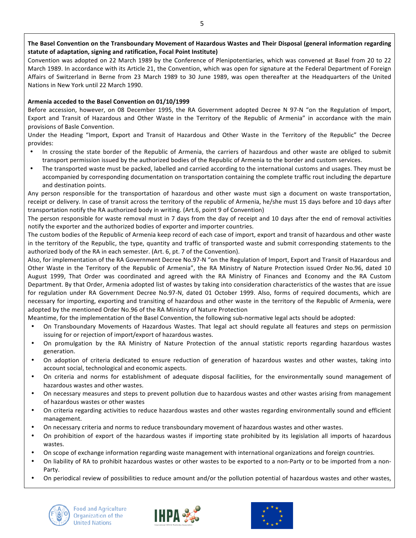### The Basel Convention on the Transboundary Movement of Hazardous Wastes and Their Disposal (general information regarding statute of adaptation, signing and ratification, Focal Point Institute)

Convention was adopted on 22 March 1989 by the Conference of Plenipotentiaries, which was convened at Basel from 20 to 22 March 1989. In accordance with its Article 21, the Convention, which was open for signature at the Federal Department of Foreign Affairs of Switzerland in Berne from 23 March 1989 to 30 June 1989, was open thereafter at the Headquarters of the United Nations in New York until 22 March 1990.

### Armenia acceded to the Basel Convention on 01/10/1999

Before accession, however, on 08 December 1995, the RA Government adopted Decree N 97-N "on the Regulation of Import, Export and Transit of Hazardous and Other Waste in the Territory of the Republic of Armenia" in accordance with the main provisions of Basle Convention.

Under the Heading "Import, Export and Transit of Hazardous and Other Waste in the Territory of the Republic" the Decree provides:

- In crossing the state border of the Republic of Armenia, the carriers of hazardous and other waste are obliged to submit transport permission issued by the authorized bodies of the Republic of Armenia to the border and custom services.
- The transported waste must be packed, labelled and carried according to the international customs and usages. They must be accompanied by corresponding documentation on transportation containing the complete traffic rout including the departure and destination points.

Any person responsible for the transportation of hazardous and other waste must sign a document on waste transportation, receipt or delivery. In case of transit across the territory of the republic of Armenia, he/she must 15 days before and 10 days after transportation notify the RA authorized body in writing. (Art.6, point 9 of Convention)

The person responsible for waste removal must in 7 days from the day of receipt and 10 days after the end of removal activities notify the exporter and the authorized bodies of exporter and importer countries.

The custom bodies of the Republic of Armenia keep record of each case of import, export and transit of hazardous and other waste in the territory of the Republic, the type, quantity and traffic of transported waste and submit corresponding statements to the authorized body of the RA in each semester. (Art. 6, pt. 7 of the Convention).

Also, for implementation of the RA Government Decree No.97-N "on the Regulation of Import, Export and Transit of Hazardous and Other Waste in the Territory of the Republic of Armenia", the RA Ministry of Nature Protection issued Order No.96, dated 10 August 1999, That Order was coordinated and agreed with the RA Ministry of Finances and Economy and the RA Custom Department. By that Order, Armenia adopted list of wastes by taking into consideration characteristics of the wastes that are issue for regulation under RA Government Decree No.97-N, dated 01 October 1999. Also, forms of required documents, which are necessary for importing, exporting and transiting of hazardous and other waste in the territory of the Republic of Armenia, were adopted by the mentioned Order No.96 of the RA Ministry of Nature Protection

Meantime, for the implementation of the Basel Convention, the following sub-normative legal acts should be adopted:

- On Transboundary Movements of Hazardous Wastes. That legal act should regulate all features and steps on permission issuing for or rejection of import/export of hazardous wastes.
- On promulgation by the RA Ministry of Nature Protection of the annual statistic reports regarding hazardous wastes generation.
- On adoption of criteria dedicated to ensure reduction of generation of hazardous wastes and other wastes, taking into account social, technological and economic aspects.
- On criteria and norms for establishment of adequate disposal facilities, for the environmentally sound management of hazardous wastes and other wastes.
- On necessary measures and steps to prevent pollution due to hazardous wastes and other wastes arising from management of hazardous wastes or other wastes
- On criteria regarding activities to reduce hazardous wastes and other wastes regarding environmentally sound and efficient management.
- On necessary criteria and norms to reduce transboundary movement of hazardous wastes and other wastes.
- On prohibition of export of the hazardous wastes if importing state prohibited by its legislation all imports of hazardous wastes.
- On scope of exchange information regarding waste management with international organizations and foreign countries.
- On liability of RA to prohibit hazardous wastes or other wastes to be exported to a non-Party or to be imported from a non-Party.
- On periodical review of possibilities to reduce amount and/or the pollution potential of hazardous wastes and other wastes,





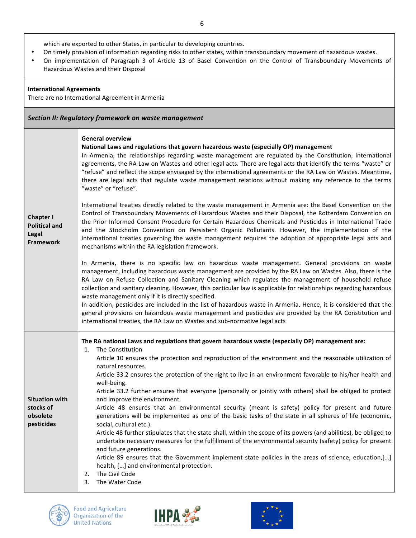which are exported to other States, in particular to developing countries.

- On timely provision of information regarding risks to other states, within transboundary movement of hazardous wastes.
- On implementation of Paragraph 3 of Article 13 of Basel Convention on the Control of Transboundary Movements of Hazardous Wastes and their Disposal

### **International Agreements**

There are no International Agreement in Armenia

|                                                                       | Section II: Regulatory framework on waste management                                                                                                                                                                                                                                                                                                                                                                                                                                                                                                                                                                                                                                                                                                                                                         |
|-----------------------------------------------------------------------|--------------------------------------------------------------------------------------------------------------------------------------------------------------------------------------------------------------------------------------------------------------------------------------------------------------------------------------------------------------------------------------------------------------------------------------------------------------------------------------------------------------------------------------------------------------------------------------------------------------------------------------------------------------------------------------------------------------------------------------------------------------------------------------------------------------|
|                                                                       | <b>General overview</b><br>National Laws and regulations that govern hazardous waste (especially OP) management<br>In Armenia, the relationships regarding waste management are regulated by the Constitution, international<br>agreements, the RA Law on Wastes and other legal acts. There are legal acts that identify the terms "waste" or<br>"refuse" and reflect the scope envisaged by the international agreements or the RA Law on Wastes. Meantime,<br>there are legal acts that regulate waste management relations without making any reference to the terms<br>"waste" or "refuse".                                                                                                                                                                                                             |
| <b>Chapter I</b><br><b>Political and</b><br>Legal<br><b>Framework</b> | International treaties directly related to the waste management in Armenia are: the Basel Convention on the<br>Control of Transboundary Movements of Hazardous Wastes and their Disposal, the Rotterdam Convention on<br>the Prior Informed Consent Procedure for Certain Hazardous Chemicals and Pesticides in International Trade<br>and the Stockholm Convention on Persistent Organic Pollutants. However, the implementation of the<br>international treaties governing the waste management requires the adoption of appropriate legal acts and<br>mechanisms within the RA legislation framework.                                                                                                                                                                                                     |
|                                                                       | In Armenia, there is no specific law on hazardous waste management. General provisions on waste<br>management, including hazardous waste management are provided by the RA Law on Wastes. Also, there is the<br>RA Law on Refuse Collection and Sanitary Cleaning which regulates the management of household refuse<br>collection and sanitary cleaning. However, this particular law is applicable for relationships regarding hazardous<br>waste management only if it is directly specified.<br>In addition, pesticides are included in the list of hazardous waste in Armenia. Hence, it is considered that the<br>general provisions on hazardous waste management and pesticides are provided by the RA Constitution and<br>international treaties, the RA Law on Wastes and sub-normative legal acts |
|                                                                       | The RA national Laws and regulations that govern hazardous waste (especially OP) management are:<br>The Constitution<br>1.                                                                                                                                                                                                                                                                                                                                                                                                                                                                                                                                                                                                                                                                                   |
|                                                                       | Article 10 ensures the protection and reproduction of the environment and the reasonable utilization of<br>natural resources.                                                                                                                                                                                                                                                                                                                                                                                                                                                                                                                                                                                                                                                                                |
|                                                                       | Article 33.2 ensures the protection of the right to live in an environment favorable to his/her health and<br>well-being.                                                                                                                                                                                                                                                                                                                                                                                                                                                                                                                                                                                                                                                                                    |
| <b>Situation with</b>                                                 | Article 33.2 further ensures that everyone (personally or jointly with others) shall be obliged to protect<br>and improve the environment.                                                                                                                                                                                                                                                                                                                                                                                                                                                                                                                                                                                                                                                                   |
| stocks of<br>obsolete<br>pesticides                                   | Article 48 ensures that an environmental security (meant is safety) policy for present and future<br>generations will be implemented as one of the basic tasks of the state in all spheres of life (economic,<br>social, cultural etc.).                                                                                                                                                                                                                                                                                                                                                                                                                                                                                                                                                                     |
|                                                                       | Article 48 further stipulates that the state shall, within the scope of its powers (and abilities), be obliged to<br>undertake necessary measures for the fulfillment of the environmental security (safety) policy for present                                                                                                                                                                                                                                                                                                                                                                                                                                                                                                                                                                              |
|                                                                       | and future generations.<br>Article 89 ensures that the Government implement state policies in the areas of science, education,[]<br>health, [] and environmental protection.<br>The Civil Code<br>2.<br>The Water Code<br>3.                                                                                                                                                                                                                                                                                                                                                                                                                                                                                                                                                                                 |





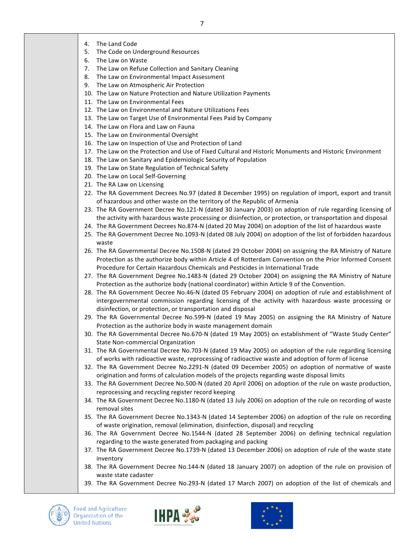- 4. The Land Code
- 5. The Code on Underground Resources
- 6. The Law on Waste
- 7. The Law on Refuse Collection and Sanitary Cleaning
- 8. The Law on Environmental Impact Assessment
- 9. The Law on Atmospheric Air Protection
- 10. The Law on Nature Protection and Nature Utilization Payments
- 11. The Law on Environmental Fees
- 12. The Law on Environmental and Nature Utilizations Fees
- 13. The Law on Target Use of Environmental Fees Paid by Company
- 14. The Law on Flora and Law on Fauna
- 15. The Law on Environmental Oversight
- 16. The Law on Inspection of Use and Protection of Land
- 17. The Law on the Protection and Use of Fixed Cultural and Historic Monuments and Historic Environment
- 18. The Law on Sanitary and Epidemiologic Security of Population
- 19. The Law on State Regulation of Technical Safety
- 20. The Law on Local Self-Governing
- 21. The RA Law on Licensing
- 22. The RA Government Decrees No.97 (dated 8 December 1995) on regulation of import, export and transit of hazardous and other waste on the territory of the Republic of Armenia
- 23. The RA Government Decree No.121-N (dated 30 January 2003) on adoption of rule regarding licensing of the activity with hazardous waste processing or disinfection, or protection, or transportation and disposal
- 24. The RA Government Decrees No.874-N (dated 20 May 2004) on adoption of the list of hazardous waste
- 25. The RA Government Decree No.1093-N (dated 08 July 2004) on adoption of the list of forbidden hazardous waste
- 26. The RA Governmental Decree No.1508-N (dated 29 October 2004) on assigning the RA Ministry of Nature Protection as the authorize body within Article 4 of Rotterdam Convention on the Prior Informed Consent Procedure for Certain Hazardous Chemicals and Pesticides in International Trade
- 27. The RA Government Degree No.1483-N (dated 29 October 2004) on assigning the RA Ministry of Nature Protection as the authorize body (national coordinator) within Article 9 of the Convention.
- 28. The RA Government Decree No.46-N (dated 05 February 2004) on adoption of rule and establishment of intergovernmental commission regarding licensing of the activity with hazardous waste processing or disinfection, or protection, or transportation and disposal
- 29. The RA Governmental Decree No.599-N (dated 19 May 2005) on assigning the RA Ministry of Nature Protection as the authorize body in waste management domain
- 30. The RA Governmental Decree No.670-N (dated 19 May 2005) on establishment of "Waste Study Center" State Non-commercial Organization
- 31. The RA Governmental Decree No.703-N (dated 19 May 2005) on adoption of the rule regarding licensing of works with radioactive waste, reprocessing of radioactive waste and adoption of form of license
- 32. The RA Government Decree No.2291-N (dated 09 December 2005) on adoption of normative of waste origination and forms of calculation models of the projects regarding waste disposal limits
- 33. The RA Government Decree No.500-N (dated 20 April 2006) on adoption of the rule on waste production, reprocessing and recycling register record keeping
- 34. The RA Government Decree No.1180-N (dated 13 July 2006) on adoption of the rule on recording of waste removal sites
- 35. The RA Government Decree No.1343-N (dated 14 September 2006) on adoption of the rule on recording of waste origination, removal (elimination, disinfection, disposal) and recycling
- 36. The RA Government Decree No.1544-N (dated 28 September 2006) on defining technical regulation regarding to the waste generated from packaging and packing
- 37. The RA Government Decree No.1739-N (dated 13 December 2006) on adoption of rule of the waste state inventory
- 38. The RA Government Decree No.144-N (dated 18 January 2007) on adoption of the rule on provision of waste state cadaster
- 39. The RA Government Decree No.293-N (dated 17 March 2007) on adoption of the list of chemicals and





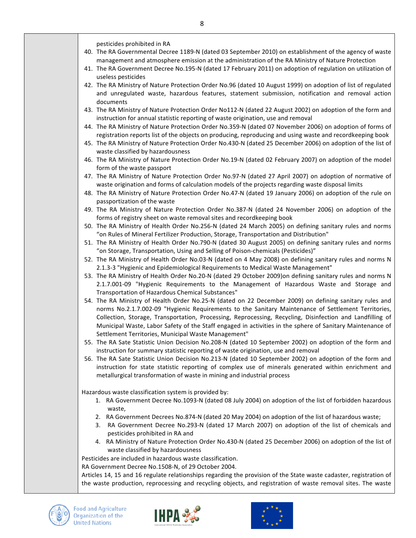pesticides prohibited in RA

- 40. The RA Governmental Decree 1189-N (dated 03 September 2010) on establishment of the agency of waste management and atmosphere emission at the administration of the RA Ministry of Nature Protection
- 41. The RA Government Decree No.195-N (dated 17 February 2011) on adoption of regulation on utilization of useless pesticides
- 42. The RA Ministry of Nature Protection Order No.96 (dated 10 August 1999) on adoption of list of regulated and unregulated waste, hazardous features, statement submission, notification and removal action documents
- 43. The RA Ministry of Nature Protection Order No112-N (dated 22 August 2002) on adoption of the form and instruction for annual statistic reporting of waste origination, use and removal
- 44. The RA Ministry of Nature Protection Order No.359-N (dated 07 November 2006) on adoption of forms of registration reports list of the objects on producing, reproducing and using waste and recordkeeping book
- 45. The RA Ministry of Nature Protection Order No.430-N (dated 25 December 2006) on adoption of the list of waste classified by hazardousness
- 46. The RA Ministry of Nature Protection Order No.19-N (dated 02 February 2007) on adoption of the model form of the waste passport
- 47. The RA Ministry of Nature Protection Order No.97-N (dated 27 April 2007) on adoption of normative of waste origination and forms of calculation models of the projects regarding waste disposal limits
- 48. The RA Ministry of Nature Protection Order No.47-N (dated 19 January 2006) on adoption of the rule on passportization of the waste
- 49. The RA Ministry of Nature Protection Order No.387-N (dated 24 November 2006) on adoption of the forms of registry sheet on waste removal sites and recordkeeping book
- 50. The RA Ministry of Health Order No.256-N (dated 24 March 2005) on defining sanitary rules and norms "on Rules of Mineral Fertilizer Production, Storage, Transportation and Distribution"
- 51. The RA Ministry of Health Order No.790-N (dated 30 August 2005) on defining sanitary rules and norms "on Storage, Transportation, Using and Selling of Poison-chemicals (Pesticides)"
- 52. The RA Ministry of Health Order No.03-N (dated on 4 May 2008) on defining sanitary rules and norms N 2.1.3-3 "Hygienic and Epidemiological Requirements to Medical Waste Management"
- 53. The RA Ministry of Health Order No.20-N (dated 29 October 2009)on defining sanitary rules and norms N 2.1.7.001-09 "Hygienic Requirements to the Management of Hazardous Waste and Storage and Transportation of Hazardous Chemical Substances"
- 54. The RA Ministry of Health Order No.25-N (dated on 22 December 2009) on defining sanitary rules and norms No.2.1.7.002-09 "Hygienic Requirements to the Sanitary Maintenance of Settlement Territories, Collection, Storage, Transportation, Processing, Reprocessing, Recycling, Disinfection and Landfilling of Municipal Waste, Labor Safety of the Staff engaged in activities in the sphere of Sanitary Maintenance of Settlement Territories, Municipal Waste Management"
- 55. The RA Sate Statistic Union Decision No.208-N (dated 10 September 2002) on adoption of the form and instruction for summary statistic reporting of waste origination, use and removal
- 56. The RA Sate Statistic Union Decision No.213-N (dated 10 September 2002) on adoption of the form and instruction for state statistic reporting of complex use of minerals generated within enrichment and metallurgical transformation of waste in mining and industrial process

Hazardous waste classification system is provided by:

- 1. RA Government Decree No.1093-N (dated 08 July 2004) on adoption of the list of forbidden hazardous waste,
- 2. RA Government Decrees No.874-N (dated 20 May 2004) on adoption of the list of hazardous waste;
- 3. RA Government Decree No.293-N (dated 17 March 2007) on adoption of the list of chemicals and pesticides prohibited in RA and
- 4. RA Ministry of Nature Protection Order No.430-N (dated 25 December 2006) on adoption of the list of waste classified by hazardousness

Pesticides are included in hazardous waste classification.

RA Government Decree No.1508-N, of 29 October 2004.

Articles 14, 15 and 16 regulate relationships regarding the provision of the State waste cadaster, registration of the waste production, reprocessing and recycling objects, and registration of waste removal sites. The waste





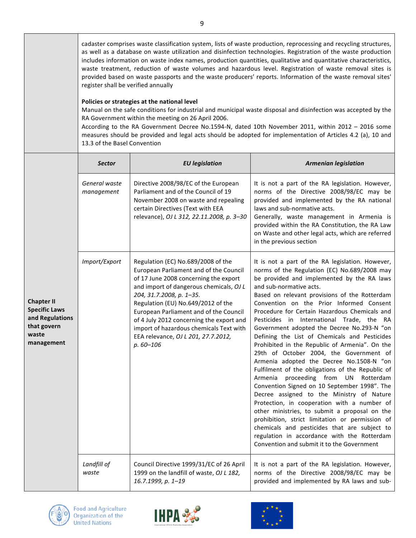cadaster comprises waste classification system, lists of waste production, reprocessing and recycling structures, as well as a database on waste utilization and disinfection technologies. Registration of the waste production includes information on waste index names, production quantities, qualitative and quantitative characteristics, waste treatment, reduction of waste volumes and hazardous level. Registration of waste removal sites is provided based on waste passports and the waste producers' reports. Information of the waste removal sites' register shall be verified annually

### **Policies or strategies at the national level**

Manual on the safe conditions for industrial and municipal waste disposal and disinfection was accepted by the RA Government within the meeting on 26 April 2006.

According to the RA Government Decree No.1594-N, dated 10th November 2011, within 2012 – 2016 some measures should be provided and legal acts should be adopted for implementation of Articles 4.2 (a), 10 and 13.3 of the Basel Convention

|                                                                                                    | <b>Sector</b>               | <b>EU</b> legislation                                                                                                                                                                                                                                                                                                                                                                                                      | <b>Armenian legislation</b>                                                                                                                                                                                                                                                                                                                                                                                                                                                                                                                                                                                                                                                                                                                                                                                                                                                                                                                                                                                                                                                                              |
|----------------------------------------------------------------------------------------------------|-----------------------------|----------------------------------------------------------------------------------------------------------------------------------------------------------------------------------------------------------------------------------------------------------------------------------------------------------------------------------------------------------------------------------------------------------------------------|----------------------------------------------------------------------------------------------------------------------------------------------------------------------------------------------------------------------------------------------------------------------------------------------------------------------------------------------------------------------------------------------------------------------------------------------------------------------------------------------------------------------------------------------------------------------------------------------------------------------------------------------------------------------------------------------------------------------------------------------------------------------------------------------------------------------------------------------------------------------------------------------------------------------------------------------------------------------------------------------------------------------------------------------------------------------------------------------------------|
| <b>Chapter II</b><br><b>Specific Laws</b><br>and Regulations<br>that govern<br>waste<br>management | General waste<br>management | Directive 2008/98/EC of the European<br>Parliament and of the Council of 19<br>November 2008 on waste and repealing<br>certain Directives (Text with EEA<br>relevance), OJ L 312, 22.11.2008, p. 3-30                                                                                                                                                                                                                      | It is not a part of the RA legislation. However,<br>norms of the Directive 2008/98/EC may be<br>provided and implemented by the RA national<br>laws and sub-normative acts.<br>Generally, waste management in Armenia is<br>provided within the RA Constitution, the RA Law<br>on Waste and other legal acts, which are referred<br>in the previous section                                                                                                                                                                                                                                                                                                                                                                                                                                                                                                                                                                                                                                                                                                                                              |
|                                                                                                    | Import/Export               | Regulation (EC) No.689/2008 of the<br>European Parliament and of the Council<br>of 17 June 2008 concerning the export<br>and import of dangerous chemicals, OJ L<br>204, 31.7.2008, p. 1-35.<br>Regulation (EU) No.649/2012 of the<br>European Parliament and of the Council<br>of 4 July 2012 concerning the export and<br>import of hazardous chemicals Text with<br>EEA relevance, OJ L 201, 27.7.2012,<br>$p.60 - 106$ | It is not a part of the RA legislation. However,<br>norms of the Regulation (EC) No.689/2008 may<br>be provided and implemented by the RA laws<br>and sub-normative acts.<br>Based on relevant provisions of the Rotterdam<br>Convention on the Prior Informed Consent<br>Procedure for Certain Hazardous Chemicals and<br>Pesticides in International Trade, the RA<br>Government adopted the Decree No.293-N "on<br>Defining the List of Chemicals and Pesticides<br>Prohibited in the Republic of Armenia". On the<br>29th of October 2004, the Government of<br>Armenia adopted the Decree No.1508-N "on<br>Fulfilment of the obligations of the Republic of<br>proceeding from UN Rotterdam<br>Armenia<br>Convention Signed on 10 September 1998". The<br>Decree assigned to the Ministry of Nature<br>Protection, in cooperation with a number of<br>other ministries, to submit a proposal on the<br>prohibition, strict limitation or permission of<br>chemicals and pesticides that are subject to<br>regulation in accordance with the Rotterdam<br>Convention and submit it to the Government |
|                                                                                                    | Landfill of<br>waste        | Council Directive 1999/31/EC of 26 April<br>1999 on the landfill of waste, OJ L 182,<br>16.7.1999, p. 1-19                                                                                                                                                                                                                                                                                                                 | It is not a part of the RA legislation. However,<br>norms of the Directive 2008/98/EC may be<br>provided and implemented by RA laws and sub-                                                                                                                                                                                                                                                                                                                                                                                                                                                                                                                                                                                                                                                                                                                                                                                                                                                                                                                                                             |





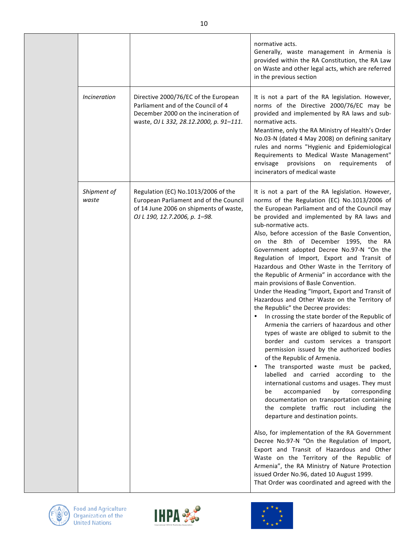|  |                      |                                                                                                                                                               | normative acts.<br>Generally, waste management in Armenia is<br>provided within the RA Constitution, the RA Law<br>on Waste and other legal acts, which are referred<br>in the previous section                                                                                                                                                                                                                                                                                                                                                                                                                                                                                                                                                                                                                                                                                                                                                                                                                                                                                                                                                                                                                                                                                                                                                                                                                                                                                                                                                                                                                                                  |
|--|----------------------|---------------------------------------------------------------------------------------------------------------------------------------------------------------|--------------------------------------------------------------------------------------------------------------------------------------------------------------------------------------------------------------------------------------------------------------------------------------------------------------------------------------------------------------------------------------------------------------------------------------------------------------------------------------------------------------------------------------------------------------------------------------------------------------------------------------------------------------------------------------------------------------------------------------------------------------------------------------------------------------------------------------------------------------------------------------------------------------------------------------------------------------------------------------------------------------------------------------------------------------------------------------------------------------------------------------------------------------------------------------------------------------------------------------------------------------------------------------------------------------------------------------------------------------------------------------------------------------------------------------------------------------------------------------------------------------------------------------------------------------------------------------------------------------------------------------------------|
|  | Incineration         | Directive 2000/76/EC of the European<br>Parliament and of the Council of 4<br>December 2000 on the incineration of<br>waste, OJ L 332, 28.12.2000, p. 91-111. | It is not a part of the RA legislation. However,<br>norms of the Directive 2000/76/EC may be<br>provided and implemented by RA laws and sub-<br>normative acts.<br>Meantime, only the RA Ministry of Health's Order<br>No.03-N (dated 4 May 2008) on defining sanitary<br>rules and norms "Hygienic and Epidemiological<br>Requirements to Medical Waste Management"<br>envisage<br>provisions on requirements<br>of<br>incinerators of medical waste                                                                                                                                                                                                                                                                                                                                                                                                                                                                                                                                                                                                                                                                                                                                                                                                                                                                                                                                                                                                                                                                                                                                                                                            |
|  | Shipment of<br>waste | Regulation (EC) No.1013/2006 of the<br>European Parliament and of the Council<br>of 14 June 2006 on shipments of waste,<br>OJ L 190, 12.7.2006, p. 1-98.      | It is not a part of the RA legislation. However,<br>norms of the Regulation (EC) No.1013/2006 of<br>the European Parliament and of the Council may<br>be provided and implemented by RA laws and<br>sub-normative acts.<br>Also, before accession of the Basle Convention,<br>on the 8th of December 1995, the RA<br>Government adopted Decree No.97-N "On the<br>Regulation of Import, Export and Transit of<br>Hazardous and Other Waste in the Territory of<br>the Republic of Armenia" in accordance with the<br>main provisions of Basle Convention.<br>Under the Heading "Import, Export and Transit of<br>Hazardous and Other Waste on the Territory of<br>the Republic" the Decree provides:<br>In crossing the state border of the Republic of<br>Armenia the carriers of hazardous and other<br>types of waste are obliged to submit to the<br>border and custom services a transport<br>permission issued by the authorized bodies<br>of the Republic of Armenia.<br>The transported waste must be packed,<br>$\bullet$<br>labelled and carried according to the<br>international customs and usages. They must<br>accompanied<br>by<br>corresponding<br>be<br>documentation on transportation containing<br>the complete traffic rout including the<br>departure and destination points.<br>Also, for implementation of the RA Government<br>Decree No.97-N "On the Regulation of Import,<br>Export and Transit of Hazardous and Other<br>Waste on the Territory of the Republic of<br>Armenia", the RA Ministry of Nature Protection<br>issued Order No.96, dated 10 August 1999.<br>That Order was coordinated and agreed with the |



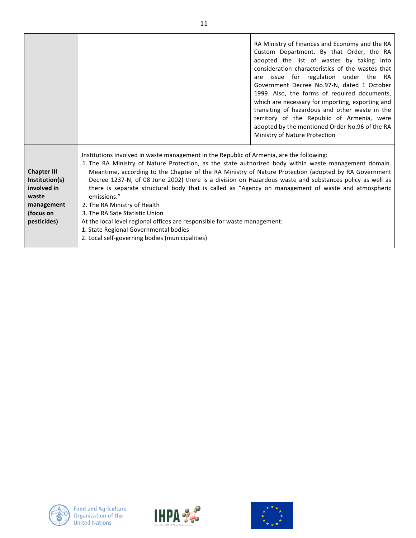|                                                                                                        |                                                                               |                                                                                                                                                                                                                                                                   | RA Ministry of Finances and Economy and the RA<br>Custom Department. By that Order, the RA<br>adopted the list of wastes by taking into<br>consideration characteristics of the wastes that<br>are issue for regulation under the RA<br>Government Decree No.97-N, dated 1 October<br>1999. Also, the forms of required documents,<br>which are necessary for importing, exporting and<br>transiting of hazardous and other waste in the<br>territory of the Republic of Armenia, were<br>adopted by the mentioned Order No.96 of the RA<br>Ministry of Nature Protection |
|--------------------------------------------------------------------------------------------------------|-------------------------------------------------------------------------------|-------------------------------------------------------------------------------------------------------------------------------------------------------------------------------------------------------------------------------------------------------------------|---------------------------------------------------------------------------------------------------------------------------------------------------------------------------------------------------------------------------------------------------------------------------------------------------------------------------------------------------------------------------------------------------------------------------------------------------------------------------------------------------------------------------------------------------------------------------|
| <b>Chapter III</b><br>Institution(s)<br>involved in<br>waste<br>management<br>(focus on<br>pesticides) | emissions."<br>2. The RA Ministry of Health<br>3. The RA Sate Statistic Union | Institutions involved in waste management in the Republic of Armenia, are the following:<br>At the local level regional offices are responsible for waste management:<br>1. State Regional Governmental bodies<br>2. Local self-governing bodies (municipalities) | 1. The RA Ministry of Nature Protection, as the state authorized body within waste management domain.<br>Meantime, according to the Chapter of the RA Ministry of Nature Protection (adopted by RA Government<br>Decree 1237-N, of 08 June 2002) there is a division on Hazardous waste and substances policy as well as<br>there is separate structural body that is called as "Agency on management of waste and atmospheric                                                                                                                                            |



T



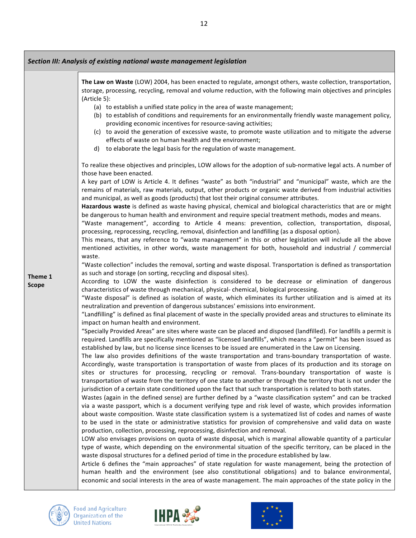|                         | Section III: Analysis of existing national waste management legislation                                                                                                                                                                                                                                                                                                                                                                                                                                                                                                                                                                                                                                                                                                                                                                                                                                                                                                                                                                                                                                                                                                                                                                                                                                                                                                                                                                                                                                                                                                                                                                                                                                                                                                                                                                                                                                                                                                                                                                                                                                                                                                                                                                                                                                                                                                                                                                                                                                                                                                                                                                                                                                                                                                                                                                                                                                                                                                                                                                                                                                                                                                                                                                                                                                                                                                                                                                                                                                                                                                                                                                                                                                                                                                                                                                                                                                                                                                                                                                                                           |  |  |  |
|-------------------------|-----------------------------------------------------------------------------------------------------------------------------------------------------------------------------------------------------------------------------------------------------------------------------------------------------------------------------------------------------------------------------------------------------------------------------------------------------------------------------------------------------------------------------------------------------------------------------------------------------------------------------------------------------------------------------------------------------------------------------------------------------------------------------------------------------------------------------------------------------------------------------------------------------------------------------------------------------------------------------------------------------------------------------------------------------------------------------------------------------------------------------------------------------------------------------------------------------------------------------------------------------------------------------------------------------------------------------------------------------------------------------------------------------------------------------------------------------------------------------------------------------------------------------------------------------------------------------------------------------------------------------------------------------------------------------------------------------------------------------------------------------------------------------------------------------------------------------------------------------------------------------------------------------------------------------------------------------------------------------------------------------------------------------------------------------------------------------------------------------------------------------------------------------------------------------------------------------------------------------------------------------------------------------------------------------------------------------------------------------------------------------------------------------------------------------------------------------------------------------------------------------------------------------------------------------------------------------------------------------------------------------------------------------------------------------------------------------------------------------------------------------------------------------------------------------------------------------------------------------------------------------------------------------------------------------------------------------------------------------------------------------------------------------------------------------------------------------------------------------------------------------------------------------------------------------------------------------------------------------------------------------------------------------------------------------------------------------------------------------------------------------------------------------------------------------------------------------------------------------------------------------------------------------------------------------------------------------------------------------------------------------------------------------------------------------------------------------------------------------------------------------------------------------------------------------------------------------------------------------------------------------------------------------------------------------------------------------------------------------------------------------------------------------------------------------------------------------------|--|--|--|
|                         | The Law on Waste (LOW) 2004, has been enacted to regulate, amongst others, waste collection, transportation,<br>storage, processing, recycling, removal and volume reduction, with the following main objectives and principles<br>(Article 5):<br>(a) to establish a unified state policy in the area of waste management;<br>(b) to establish of conditions and requirements for an environmentally friendly waste management policy,<br>providing economic incentives for resource-saving activities;<br>(c) to avoid the generation of excessive waste, to promote waste utilization and to mitigate the adverse<br>effects of waste on human health and the environment;<br>d) to elaborate the legal basis for the regulation of waste management.                                                                                                                                                                                                                                                                                                                                                                                                                                                                                                                                                                                                                                                                                                                                                                                                                                                                                                                                                                                                                                                                                                                                                                                                                                                                                                                                                                                                                                                                                                                                                                                                                                                                                                                                                                                                                                                                                                                                                                                                                                                                                                                                                                                                                                                                                                                                                                                                                                                                                                                                                                                                                                                                                                                                                                                                                                                                                                                                                                                                                                                                                                                                                                                                                                                                                                                          |  |  |  |
| Theme 1<br><b>Scope</b> | To realize these objectives and principles, LOW allows for the adoption of sub-normative legal acts. A number of<br>those have been enacted.<br>A key part of LOW is Article 4. It defines "waste" as both "industrial" and "municipal" waste, which are the<br>remains of materials, raw materials, output, other products or organic waste derived from industrial activities<br>and municipal, as well as goods (products) that lost their original consumer attributes.<br>Hazardous waste is defined as waste having physical, chemical and biological characteristics that are or might<br>be dangerous to human health and environment and require special treatment methods, modes and means.<br>"Waste management", according to Article 4 means: prevention, collection, transportation, disposal,<br>processing, reprocessing, recycling, removal, disinfection and landfilling (as a disposal option).<br>This means, that any reference to "waste management" in this or other legislation will include all the above<br>mentioned activities, in other words, waste management for both, household and industrial / commercial<br>waste.<br>"Waste collection" includes the removal, sorting and waste disposal. Transportation is defined as transportation<br>as such and storage (on sorting, recycling and disposal sites).<br>According to LOW the waste disinfection is considered to be decrease or elimination of dangerous<br>characteristics of waste through mechanical, physical- chemical, biological processing.<br>"Waste disposal" is defined as isolation of waste, which eliminates its further utilization and is aimed at its<br>neutralization and prevention of dangerous substances' emissions into environment.<br>"Landfilling" is defined as final placement of waste in the specially provided areas and structures to eliminate its<br>impact on human health and environment.<br>"Specially Provided Areas" are sites where waste can be placed and disposed (landfilled). For landfills a permit is<br>required. Landfills are specifically mentioned as "licensed landfills", which means a "permit" has been issued as<br>established by law, but no license since licenses to be issued are enumerated in the Law on Licensing.<br>The law also provides definitions of the waste transportation and trans-boundary transportation of waste.<br>Accordingly, waste transportation is transportation of waste from places of its production and its storage on<br>sites or structures for processing, recycling or removal. Trans-boundary transportation of waste is<br>transportation of waste from the territory of one state to another or through the territory that is not under the<br>jurisdiction of a certain state conditioned upon the fact that such transportation is related to both states.<br>Wastes (again in the defined sense) are further defined by a "waste classification system" and can be tracked<br>via a waste passport, which is a document verifying type and risk level of waste, which provides information<br>about waste composition. Waste state classification system is a systematized list of codes and names of waste<br>to be used in the state or administrative statistics for provision of comprehensive and valid data on waste<br>production, collection, processing, reprocessing, disinfection and removal.<br>LOW also envisages provisions on quota of waste disposal, which is marginal allowable quantity of a particular<br>type of waste, which depending on the environmental situation of the specific territory, can be placed in the<br>waste disposal structures for a defined period of time in the procedure established by law.<br>Article 6 defines the "main approaches" of state regulation for waste management, being the protection of<br>human health and the environment (see also constitutional obligations) and to balance environmental,<br>economic and social interests in the area of waste management. The main approaches of the state policy in the |  |  |  |

⁄о



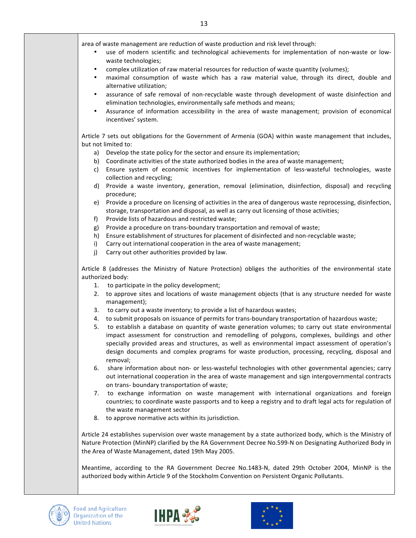area of waste management are reduction of waste production and risk level through:

- use of modern scientific and technological achievements for implementation of non-waste or lowwaste technologies;
- complex utilization of raw material resources for reduction of waste quantity (volumes);
- maximal consumption of waste which has a raw material value, through its direct, double and alternative utilization;
- assurance of safe removal of non-recyclable waste through development of waste disinfection and elimination technologies, environmentally safe methods and means;
- Assurance of information accessibility in the area of waste management; provision of economical incentives' system.

Article 7 sets out obligations for the Government of Armenia (GOA) within waste management that includes, but not limited to:

- a) Develop the state policy for the sector and ensure its implementation;
- b) Coordinate activities of the state authorized bodies in the area of waste management;
- c) Ensure system of economic incentives for implementation of less-wasteful technologies, waste collection and recycling;
- d) Provide a waste inventory, generation, removal (elimination, disinfection, disposal) and recycling procedure;
- e) Provide a procedure on licensing of activities in the area of dangerous waste reprocessing, disinfection, storage, transportation and disposal, as well as carry out licensing of those activities;
- f) Provide lists of hazardous and restricted waste;
- g) Provide a procedure on trans-boundary transportation and removal of waste;
- h) Ensure establishment of structures for placement of disinfected and non-recyclable waste;
- i) Carry out international cooperation in the area of waste management;
- j) Carry out other authorities provided by law.

Article 8 (addresses the Ministry of Nature Protection) obliges the authorities of the environmental state authorized body:

- 1. to participate in the policy development;
- 2. to approve sites and locations of waste management objects (that is any structure needed for waste management);
- 3. to carry out a waste inventory; to provide a list of hazardous wastes;
- 4. to submit proposals on issuance of permits for trans-boundary transportation of hazardous waste;
- 5. to establish a database on quantity of waste generation volumes; to carry out state environmental impact assessment for construction and remodelling of polygons, complexes, buildings and other specially provided areas and structures, as well as environmental impact assessment of operation's design documents and complex programs for waste production, processing, recycling, disposal and removal;
- 6. share information about non- or less-wasteful technologies with other governmental agencies; carry out international cooperation in the area of waste management and sign intergovernmental contracts on trans- boundary transportation of waste;
- 7. to exchange information on waste management with international organizations and foreign countries; to coordinate waste passports and to keep a registry and to draft legal acts for regulation of the waste management sector
- 8. to approve normative acts within its jurisdiction.

Article 24 establishes supervision over waste management by a state authorized body, which is the Ministry of Nature Protection (MinNP) clarified by the RA Government Decree No.599-N on Designating Authorized Body in the Area of Waste Management, dated 19th May 2005.

Meantime, according to the RA Government Decree No.1483-N, dated 29th October 2004, MinNP is the authorized body within Article 9 of the Stockholm Convention on Persistent Organic Pollutants.





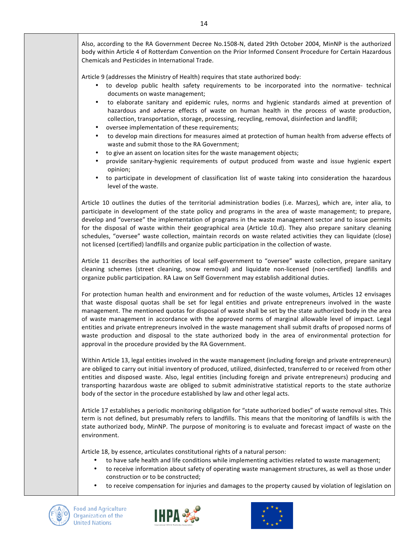Also, according to the RA Government Decree No.1508-N, dated 29th October 2004, MinNP is the authorized body within Article 4 of Rotterdam Convention on the Prior Informed Consent Procedure for Certain Hazardous Chemicals and Pesticides in International Trade.

Article 9 (addresses the Ministry of Health) requires that state authorized body:

- to develop public health safety requirements to be incorporated into the normative- technical documents on waste management;
- to elaborate sanitary and epidemic rules, norms and hygienic standards aimed at prevention of hazardous and adverse effects of waste on human health in the process of waste production, collection, transportation, storage, processing, recycling, removal, disinfection and landfill;
- oversee implementation of these requirements;
- to develop main directions for measures aimed at protection of human health from adverse effects of waste and submit those to the RA Government;
- to give an assent on location sites for the waste management objects;
- provide sanitary-hygienic requirements of output produced from waste and issue hygienic expert opinion;
- to participate in development of classification list of waste taking into consideration the hazardous level of the waste.

Article 10 outlines the duties of the territorial administration bodies (i.e. Marzes), which are, inter alia, to participate in development of the state policy and programs in the area of waste management; to prepare, develop and "oversee" the implementation of programs in the waste management sector and to issue permits for the disposal of waste within their geographical area (Article 10.d). They also prepare sanitary cleaning schedules, "oversee" waste collection, maintain records on waste related activities they can liquidate (close) not licensed (certified) landfills and organize public participation in the collection of waste.

Article 11 describes the authorities of local self-government to "oversee" waste collection, prepare sanitary cleaning schemes (street cleaning, snow removal) and liquidate non-licensed (non-certified) landfills and organize public participation. RA Law on Self Government may establish additional duties.

For protection human health and environment and for reduction of the waste volumes, Articles 12 envisages that waste disposal quotas shall be set for legal entities and private entrepreneurs involved in the waste management. The mentioned quotas for disposal of waste shall be set by the state authorized body in the area of waste management in accordance with the approved norms of marginal allowable level of impact. Legal entities and private entrepreneurs involved in the waste management shall submit drafts of proposed norms of waste production and disposal to the state authorized body in the area of environmental protection for approval in the procedure provided by the RA Government.

Within Article 13, legal entities involved in the waste management (including foreign and private entrepreneurs) are obliged to carry out initial inventory of produced, utilized, disinfected, transferred to or received from other entities and disposed waste. Also, legal entities (including foreign and private entrepreneurs) producing and transporting hazardous waste are obliged to submit administrative statistical reports to the state authorize body of the sector in the procedure established by law and other legal acts.

Article 17 establishes a periodic monitoring obligation for "state authorized bodies" of waste removal sites. This term is not defined, but presumably refers to landfills. This means that the monitoring of landfills is with the state authorized body, MinNP. The purpose of monitoring is to evaluate and forecast impact of waste on the environment.

Article 18, by essence, articulates constitutional rights of a natural person:

- to have safe health and life conditions while implementing activities related to waste management;
- to receive information about safety of operating waste management structures, as well as those under construction or to be constructed;
- to receive compensation for injuries and damages to the property caused by violation of legislation on





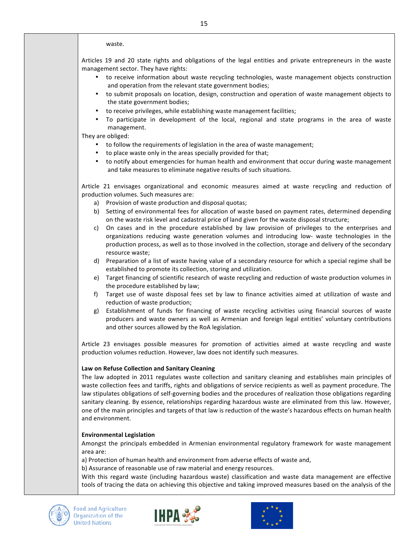#### waste.

Articles 19 and 20 state rights and obligations of the legal entities and private entrepreneurs in the waste management sector. They have rights:

- to receive information about waste recycling technologies, waste management objects construction and operation from the relevant state government bodies;
- to submit proposals on location, design, construction and operation of waste management objects to the state government bodies;
- to receive privileges, while establishing waste management facilities;
- To participate in development of the local, regional and state programs in the area of waste management.

They are obliged:

- to follow the requirements of legislation in the area of waste management;
- to place waste only in the areas specially provided for that;
- to notify about emergencies for human health and environment that occur during waste management and take measures to eliminate negative results of such situations.

Article 21 envisages organizational and economic measures aimed at waste recycling and reduction of production volumes. Such measures are:

- a) Provision of waste production and disposal quotas;
- b) Setting of environmental fees for allocation of waste based on payment rates, determined depending on the waste risk level and cadastral price of land given for the waste disposal structure;
- c) On cases and in the procedure established by law provision of privileges to the enterprises and organizations reducing waste generation volumes and introducing low- waste technologies in the production process, as well as to those involved in the collection, storage and delivery of the secondary resource waste;
- d) Preparation of a list of waste having value of a secondary resource for which a special regime shall be established to promote its collection, storing and utilization.
- e) Target financing of scientific research of waste recycling and reduction of waste production volumes in the procedure established by law;
- f) Target use of waste disposal fees set by law to finance activities aimed at utilization of waste and reduction of waste production;
- g) Establishment of funds for financing of waste recycling activities using financial sources of waste producers and waste owners as well as Armenian and foreign legal entities' voluntary contributions and other sources allowed by the RoA legislation.

Article 23 envisages possible measures for promotion of activities aimed at waste recycling and waste production volumes reduction. However, law does not identify such measures.

#### **Law on Refuse Collection and Sanitary Cleaning**

The law adopted in 2011 regulates waste collection and sanitary cleaning and establishes main principles of waste collection fees and tariffs, rights and obligations of service recipients as well as payment procedure. The law stipulates obligations of self-governing bodies and the procedures of realization those obligations regarding sanitary cleaning. By essence, relationships regarding hazardous waste are eliminated from this law. However, one of the main principles and targets of that law is reduction of the waste's hazardous effects on human health and environment.

#### **Environmental Legislation**

Amongst the principals embedded in Armenian environmental regulatory framework for waste management area are:

a) Protection of human health and environment from adverse effects of waste and,

b) Assurance of reasonable use of raw material and energy resources.

With this regard waste (including hazardous waste) classification and waste data management are effective tools of tracing the data on achieving this objective and taking improved measures based on the analysis of the



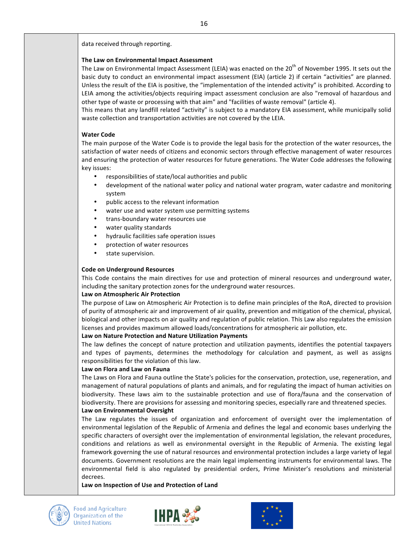data received through reporting.

### **The Law on Environmental Impact Assessment**

The Law on Environmental Impact Assessment (LEIA) was enacted on the 20<sup>th</sup> of November 1995. It sets out the basic duty to conduct an environmental impact assessment (EIA) (article 2) if certain "activities" are planned. Unless the result of the EIA is positive, the "implementation of the intended activity" is prohibited. According to LEIA among the activities/objects requiring impact assessment conclusion are also "removal of hazardous and other type of waste or processing with that aim" and "facilities of waste removal" (article 4).

This means that any landfill related "activity" is subject to a mandatory EIA assessment, while municipally solid waste collection and transportation activities are not covered by the LEIA.

### **Water Code**

The main purpose of the Water Code is to provide the legal basis for the protection of the water resources, the satisfaction of water needs of citizens and economic sectors through effective management of water resources and ensuring the protection of water resources for future generations. The Water Code addresses the following key issues:

- responsibilities of state/local authorities and public
- development of the national water policy and national water program, water cadastre and monitoring system
- public access to the relevant information
- water use and water system use permitting systems
- trans-boundary water resources use
- water quality standards
- hydraulic facilities safe operation issues
- protection of water resources
- state supervision.

### **Code on Underground Resources**

This Code contains the main directives for use and protection of mineral resources and underground water, including the sanitary protection zones for the underground water resources.

### **Law on Atmospheric Air Protection**

The purpose of Law on Atmospheric Air Protection is to define main principles of the RoA, directed to provision of purity of atmospheric air and improvement of air quality, prevention and mitigation of the chemical, physical, biological and other impacts on air quality and regulation of public relation. This Law also regulates the emission licenses and provides maximum allowed loads/concentrations for atmospheric air pollution, etc.

### Law on Nature Protection and Nature Utilization Payments

The law defines the concept of nature protection and utilization payments, identifies the potential taxpayers and types of payments, determines the methodology for calculation and payment, as well as assigns responsibilities for the violation of this law.

### **Law on Flora and Law on Fauna**

The Laws on Flora and Fauna outline the State's policies for the conservation, protection, use, regeneration, and management of natural populations of plants and animals, and for regulating the impact of human activities on biodiversity. These laws aim to the sustainable protection and use of flora/fauna and the conservation of biodiversity. There are provisions for assessing and monitoring species, especially rare and threatened species. **Law on Environmental Oversight**

The Law regulates the issues of organization and enforcement of oversight over the implementation of environmental legislation of the Republic of Armenia and defines the legal and economic bases underlying the specific characters of oversight over the implementation of environmental legislation, the relevant procedures, conditions and relations as well as environmental oversight in the Republic of Armenia. The existing legal framework governing the use of natural resources and environmental protection includes a large variety of legal documents. Government resolutions are the main legal implementing instruments for environmental laws. The environmental field is also regulated by presidential orders, Prime Minister's resolutions and ministerial decrees.

Law on Inspection of Use and Protection of Land





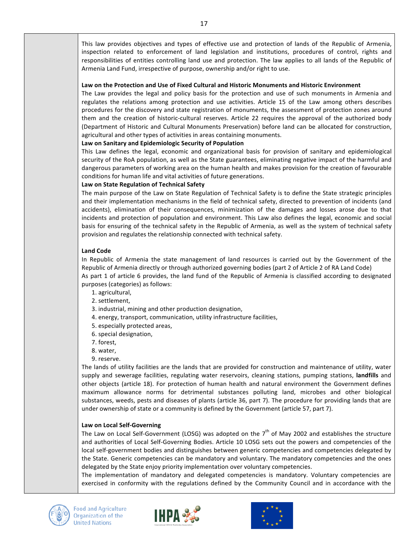This law provides objectives and types of effective use and protection of lands of the Republic of Armenia, inspection related to enforcement of land legislation and institutions, procedures of control, rights and responsibilities of entities controlling land use and protection. The law applies to all lands of the Republic of Armenia Land Fund, irrespective of purpose, ownership and/or right to use.

#### Law on the Protection and Use of Fixed Cultural and Historic Monuments and Historic Environment

The Law provides the legal and policy basis for the protection and use of such monuments in Armenia and regulates the relations among protection and use activities. Article 15 of the Law among others describes procedures for the discovery and state registration of monuments, the assessment of protection zones around them and the creation of historic-cultural reserves. Article 22 requires the approval of the authorized body (Department of Historic and Cultural Monuments Preservation) before land can be allocated for construction, agricultural and other types of activities in areas containing monuments.

#### Law on Sanitary and Epidemiologic Security of Population

This Law defines the legal, economic and organizational basis for provision of sanitary and epidemiological security of the RoA population, as well as the State guarantees, eliminating negative impact of the harmful and dangerous parameters of working area on the human health and makes provision for the creation of favourable conditions for human life and vital activities of future generations.

#### **Law on State Regulation of Technical Safety**

The main purpose of the Law on State Regulation of Technical Safety is to define the State strategic principles and their implementation mechanisms in the field of technical safety, directed to prevention of incidents (and accidents), elimination of their consequences, minimization of the damages and losses arose due to that incidents and protection of population and environment. This Law also defines the legal, economic and social basis for ensuring of the technical safety in the Republic of Armenia, as well as the system of technical safety provision and regulates the relationship connected with technical safety.

### **Land Code**

In Republic of Armenia the state management of land resources is carried out by the Government of the Republic of Armenia directly or through authorized governing bodies (part 2 of Article 2 of RA Land Code) As part 1 of article 6 provides, the land fund of the Republic of Armenia is classified according to designated purposes (categories) as follows:

- 1. agricultural,
- 2. settlement,
- 3. industrial, mining and other production designation,
- 4. energy, transport, communication, utility infrastructure facilities,
- 5. especially protected areas,
- 6. special designation,
- 7. forest,
- 8. water,
- 9. reserve.

The lands of utility facilities are the lands that are provided for construction and maintenance of utility, water supply and sewerage facilities, regulating water reservoirs, cleaning stations, pumping stations, landfills and other objects (article 18). For protection of human health and natural environment the Government defines maximum allowance norms for detrimental substances polluting land, microbes and other biological substances, weeds, pests and diseases of plants (article 36, part 7). The procedure for providing lands that are under ownership of state or a community is defined by the Government (article 57, part 7).

#### **Law on Local Self-Governing**

The Law on Local Self-Government (LOSG) was adopted on the  $7<sup>th</sup>$  of May 2002 and establishes the structure and authorities of Local Self-Governing Bodies. Article 10 LOSG sets out the powers and competencies of the local self-government bodies and distinguishes between generic competencies and competencies delegated by the State. Generic competencies can be mandatory and voluntary. The mandatory competencies and the ones delegated by the State enjoy priority implementation over voluntary competencies.

The implementation of mandatory and delegated competencies is mandatory. Voluntary competencies are exercised in conformity with the regulations defined by the Community Council and in accordance with the





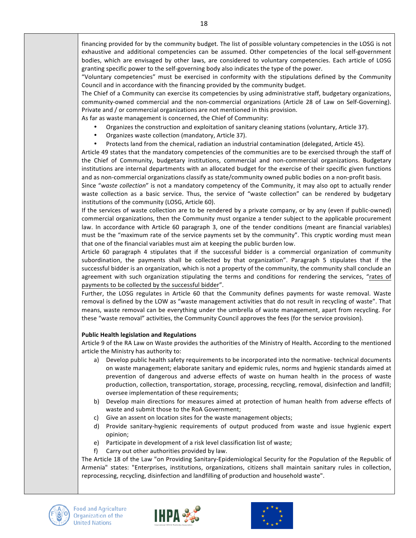"Voluntary competencies" must be exercised in conformity with the stipulations defined by the Community Council and in accordance with the financing provided by the community budget.

The Chief of a Community can exercise its competencies by using administrative staff, budgetary organizations, community-owned commercial and the non-commercial organizations (Article 28 of Law on Self-Governing). Private and / or commercial organizations are not mentioned in this provision.

As far as waste management is concerned, the Chief of Community:

- Organizes the construction and exploitation of sanitary cleaning stations (voluntary, Article 37).
- Organizes waste collection (mandatory, Article 37).
- Protects land from the chemical, radiation an industrial contamination (delegated, Article 45).

Article 49 states that the mandatory competencies of the communities are to be exercised through the staff of the Chief of Community, budgetary institutions, commercial and non-commercial organizations. Budgetary institutions are internal departments with an allocated budget for the exercise of their specific given functions and as non-commercial organizations classify as state/community owned public bodies on a non-profit basis.

Since "waste collection" is not a mandatory competency of the Community, it may also opt to actually render waste collection as a basic service. Thus, the service of "waste collection" can be rendered by budgetary institutions of the community (LOSG, Article 60).

If the services of waste collection are to be rendered by a private company, or by any (even if public-owned) commercial organizations, then the Community must organize a tender subject to the applicable procurement law. In accordance with Article 60 paragraph 3, one of the tender conditions (meant are financial variables) must be the "maximum rate of the service payments set by the community". This cryptic wording must mean that one of the financial variables must aim at keeping the public burden low.

Article 60 paragraph 4 stipulates that if the successful bidder is a commercial organization of community subordination, the payments shall be collected by that organization". Paragraph 5 stipulates that if the successful bidder is an organization, which is not a property of the community, the community shall conclude an agreement with such organization stipulating the terms and conditions for rendering the services, "rates of payments to be collected by the successful bidder".

Further, the LOSG regulates in Article 60 that the Community defines payments for waste removal. Waste removal is defined by the LOW as "waste management activities that do not result in recycling of waste". That means, waste removal can be everything under the umbrella of waste management, apart from recycling. For these "waste removal" activities, the Community Council approves the fees (for the service provision).

### **Public Health legislation and Regulations**

Article 9 of the RA Law on Waste provides the authorities of the Ministry of Health*.* According to the mentioned article the Ministry has authority to:

- a) Develop public health safety requirements to be incorporated into the normative- technical documents on waste management; elaborate sanitary and epidemic rules, norms and hygienic standards aimed at prevention of dangerous and adverse effects of waste on human health in the process of waste production, collection, transportation, storage, processing, recycling, removal, disinfection and landfill; oversee implementation of these requirements;
- b) Develop main directions for measures aimed at protection of human health from adverse effects of waste and submit those to the RoA Government;
- c) Give an assent on location sites for the waste management objects;
- d) Provide sanitary-hygienic requirements of output produced from waste and issue hygienic expert opinion;
- e) Participate in development of a risk level classification list of waste;
- f) Carry out other authorities provided by law.

The Article 18 of the Law "on Providing Sanitary-Epidemiological Security for the Population of the Republic of Armenia" states: "Enterprises, institutions, organizations, citizens shall maintain sanitary rules in collection, reprocessing, recycling, disinfection and landfilling of production and household waste".





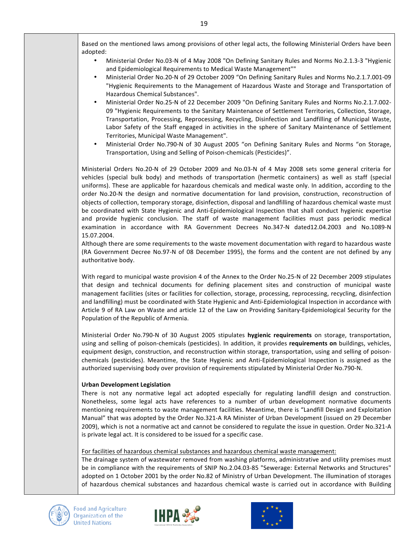Based on the mentioned laws among provisions of other legal acts, the following Ministerial Orders have been adopted:

- Ministerial Order No.03-N of 4 May 2008 "On Defining Sanitary Rules and Norms No.2.1.3-3 "Hygienic and Epidemiological Requirements to Medical Waste Management""
- Ministerial Order No.20-N of 29 October 2009 "On Defining Sanitary Rules and Norms No.2.1.7.001-09 "Hygienic Requirements to the Management of Hazardous Waste and Storage and Transportation of Hazardous Chemical Substances".
- Ministerial Order No.25-N of 22 December 2009 "On Defining Sanitary Rules and Norms No.2.1.7.002- 09 "Hygienic Requirements to the Sanitary Maintenance of Settlement Territories, Collection, Storage, Transportation, Processing, Reprocessing, Recycling, Disinfection and Landfilling of Municipal Waste, Labor Safety of the Staff engaged in activities in the sphere of Sanitary Maintenance of Settlement Territories, Municipal Waste Management".
- Ministerial Order No.790-N of 30 August 2005 "on Defining Sanitary Rules and Norms "on Storage, Transportation, Using and Selling of Poison-chemicals (Pesticides)".

Ministerial Orders No.20-N of 29 October 2009 and No.03-N of 4 May 2008 sets some general criteria for vehicles (special bulk body) and methods of transportation (hermetic containers) as well as staff (special uniforms). These are applicable for hazardous chemicals and medical waste only. In addition, according to the order No.20-N the design and normative documentation for land provision, construction, reconstruction of objects of collection, temporary storage, disinfection, disposal and landfilling of hazardous chemical waste must be coordinated with State Hygienic and Anti-Epidemiological Inspection that shall conduct hygienic expertise and provide hygienic conclusion. The staff of waste management facilities must pass periodic medical examination in accordance with RA Government Decrees No.347-N dated12.04.2003 and No.1089-N 15.07.2004.

Although there are some requirements to the waste movement documentation with regard to hazardous waste (RA Government Decree No.97-N of 08 December 1995), the forms and the content are not defined by any authoritative body.

With regard to municipal waste provision 4 of the Annex to the Order No.25-N of 22 December 2009 stipulates that design and technical documents for defining placement sites and construction of municipal waste management facilities (sites or facilities for collection, storage, processing, reprocessing, recycling, disinfection and landfilling) must be coordinated with State Hygienic and Anti-Epidemiological Inspection in accordance with Article 9 of RA Law on Waste and article 12 of the Law on Providing Sanitary-Epidemiological Security for the Population of the Republic of Armenia.

Ministerial Order No.790-N of 30 August 2005 stipulates **hygienic requirements** on storage, transportation, using and selling of poison-chemicals (pesticides). In addition, it provides requirements on buildings, vehicles, equipment design, construction, and reconstruction within storage, transportation, using and selling of poisonchemicals (pesticides). Meantime, the State Hygienic and Anti-Epidemiological Inspection is assigned as the authorized supervising body over provision of requirements stipulated by Ministerial Order No.790-N.

### **Urban Development Legislation**

There is not any normative legal act adopted especially for regulating landfill design and construction. Nonetheless, some legal acts have references to a number of urban development normative documents mentioning requirements to waste management facilities. Meantime, there is "Landfill Design and Exploitation Manual" that was adopted by the Order No.321-A RA Minister of Urban Development (issued on 29 December 2009), which is not a normative act and cannot be considered to regulate the issue in question. Order No.321-A is private legal act. It is considered to be issued for a specific case.

### For facilities of hazardous chemical substances and hazardous chemical waste management:

The drainage system of wastewater removed from washing platforms, administrative and utility premises must be in compliance with the requirements of SNIP No.2.04.03-85 "Sewerage: External Networks and Structures" adopted on 1 October 2001 by the order No.82 of Ministry of Urban Development. The illumination of storages of hazardous chemical substances and hazardous chemical waste is carried out in accordance with Building





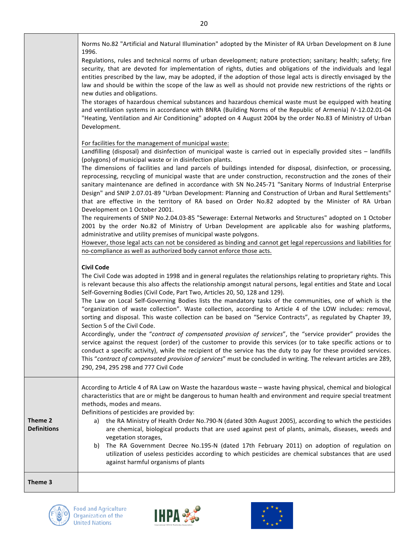Norms No.82 "Artificial and Natural Illumination" adopted by the Minister of RA Urban Development on 8 June 1996.

Regulations, rules and technical norms of urban development; nature protection; sanitary; health; safety; fire security, that are devoted for implementation of rights, duties and obligations of the individuals and legal entities prescribed by the law, may be adopted, if the adoption of those legal acts is directly envisaged by the law and should be within the scope of the law as well as should not provide new restrictions of the rights or new duties and obligations.

The storages of hazardous chemical substances and hazardous chemical waste must be equipped with heating and ventilation systems in accordance with BNRA (Building Norms of the Republic of Armenia) IV-12.02.01-04 "Heating, Ventilation and Air Conditioning" adopted on 4 August 2004 by the order No.83 of Ministry of Urban Development.

For facilities for the management of municipal waste:

Landfilling (disposal) and disinfection of municipal waste is carried out in especially provided sites – landfills (polygons) of municipal waste or in disinfection plants.

The dimensions of facilities and land parcels of buildings intended for disposal, disinfection, or processing, reprocessing, recycling of municipal waste that are under construction, reconstruction and the zones of their sanitary maintenance are defined in accordance with SN No.245-71 "Sanitary Norms of Industrial Enterprise Design" and SNIP 2.07.01-89 "Urban Development: Planning and Construction of Urban and Rural Settlements" that are effective in the territory of RA based on Order No.82 adopted by the Minister of RA Urban Development on 1 October 2001.

The requirements of SNIP No.2.04.03-85 "Sewerage: External Networks and Structures" adopted on 1 October 2001 by the order No.82 of Ministry of Urban Development are applicable also for washing platforms, administrative and utility premises of municipal waste polygons.

However, those legal acts can not be considered as binding and cannot get legal repercussions and liabilities for no-compliance as well as authorized body cannot enforce those acts.

### **Civil Code**

The Civil Code was adopted in 1998 and in general regulates the relationships relating to proprietary rights. This is relevant because this also affects the relationship amongst natural persons, legal entities and State and Local Self-Governing Bodies (Civil Code, Part Two, Articles 20, 50, 128 and 129).

The Law on Local Self-Governing Bodies lists the mandatory tasks of the communities, one of which is the "organization of waste collection". Waste collection, according to Article 4 of the LOW includes: removal, sorting and disposal. This waste collection can be based on "Service Contracts", as regulated by Chapter 39, Section 5 of the Civil Code.

Accordingly, under the "*contract of compensated provision of services*", the "service provider" provides the service against the request (order) of the customer to provide this services (or to take specific actions or to conduct a specific activity), while the recipient of the service has the duty to pay for these provided services. This "contract of compensated provision of services" must be concluded in writing. The relevant articles are 289, 290, 294, 295 298 and 777 Civil Code

According to Article 4 of RA Law on Waste the hazardous waste – waste having physical, chemical and biological characteristics that are or might be dangerous to human health and environment and require special treatment methods, modes and means.

Definitions of pesticides are provided by:

- **Theme 2 Definitions**
- a) the RA Ministry of Health Order No.790-N (dated 30th August 2005), according to which the pesticides are chemical, biological products that are used against pest of plants, animals, diseases, weeds and vegetation storages,
- b) The RA Government Decree No.195-N (dated 17th February 2011) on adoption of regulation on utilization of useless pesticides according to which pesticides are chemical substances that are used against harmful organisms of plants

**Theme 3** 





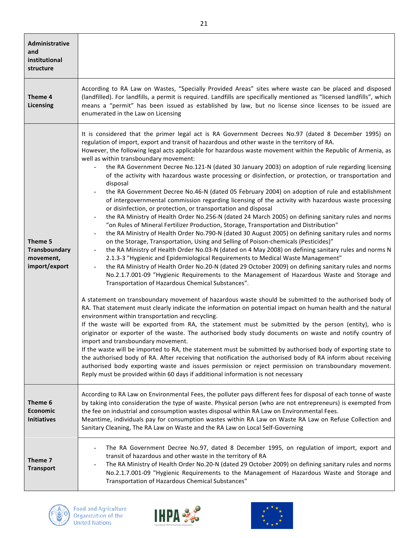| Administrative<br>and<br>institutional<br>structure           |                                                                                                                                                                                                                                                                                                                                                                                                                                                                                                                                                                                                                                                                                                                                                                                                                                                                                                                                                                                                                                                                                                                                                                                                                                                                                                                                                                                                                                                                                                                                                                                                                                                                                                                                                                                                                                                                                                                                                                                                                                                                                                                                                                                                                                                                                                                                                                                                                                                                                                                                                                                                                                                                                                                                                                                                                  |
|---------------------------------------------------------------|------------------------------------------------------------------------------------------------------------------------------------------------------------------------------------------------------------------------------------------------------------------------------------------------------------------------------------------------------------------------------------------------------------------------------------------------------------------------------------------------------------------------------------------------------------------------------------------------------------------------------------------------------------------------------------------------------------------------------------------------------------------------------------------------------------------------------------------------------------------------------------------------------------------------------------------------------------------------------------------------------------------------------------------------------------------------------------------------------------------------------------------------------------------------------------------------------------------------------------------------------------------------------------------------------------------------------------------------------------------------------------------------------------------------------------------------------------------------------------------------------------------------------------------------------------------------------------------------------------------------------------------------------------------------------------------------------------------------------------------------------------------------------------------------------------------------------------------------------------------------------------------------------------------------------------------------------------------------------------------------------------------------------------------------------------------------------------------------------------------------------------------------------------------------------------------------------------------------------------------------------------------------------------------------------------------------------------------------------------------------------------------------------------------------------------------------------------------------------------------------------------------------------------------------------------------------------------------------------------------------------------------------------------------------------------------------------------------------------------------------------------------------------------------------------------------|
| Theme 4<br>Licensing                                          | According to RA Law on Wastes, "Specially Provided Areas" sites where waste can be placed and disposed<br>(landfilled). For landfills, a permit is required. Landfills are specifically mentioned as "licensed landfills", which<br>means a "permit" has been issued as established by law, but no license since licenses to be issued are<br>enumerated in the Law on Licensing                                                                                                                                                                                                                                                                                                                                                                                                                                                                                                                                                                                                                                                                                                                                                                                                                                                                                                                                                                                                                                                                                                                                                                                                                                                                                                                                                                                                                                                                                                                                                                                                                                                                                                                                                                                                                                                                                                                                                                                                                                                                                                                                                                                                                                                                                                                                                                                                                                 |
| Theme 5<br><b>Transboundary</b><br>movement,<br>import/export | It is considered that the primer legal act is RA Government Decrees No.97 (dated 8 December 1995) on<br>regulation of import, export and transit of hazardous and other waste in the territory of RA.<br>However, the following legal acts applicable for hazardous waste movement within the Republic of Armenia, as<br>well as within transboundary movement:<br>the RA Government Decree No.121-N (dated 30 January 2003) on adoption of rule regarding licensing<br>of the activity with hazardous waste processing or disinfection, or protection, or transportation and<br>disposal<br>the RA Government Decree No.46-N (dated 05 February 2004) on adoption of rule and establishment<br>of intergovernmental commission regarding licensing of the activity with hazardous waste processing<br>or disinfection, or protection, or transportation and disposal<br>the RA Ministry of Health Order No.256-N (dated 24 March 2005) on defining sanitary rules and norms<br>$\blacksquare$<br>"on Rules of Mineral Fertilizer Production, Storage, Transportation and Distribution"<br>the RA Ministry of Health Order No.790-N (dated 30 August 2005) on defining sanitary rules and norms<br>$\qquad \qquad \blacksquare$<br>on the Storage, Transportation, Using and Selling of Poison-chemicals (Pesticides)"<br>the RA Ministry of Health Order No.03-N (dated on 4 May 2008) on defining sanitary rules and norms N<br>$\qquad \qquad \blacksquare$<br>2.1.3-3 "Hygienic and Epidemiological Requirements to Medical Waste Management"<br>the RA Ministry of Health Order No.20-N (dated 29 October 2009) on defining sanitary rules and norms<br>$\overline{\phantom{0}}$<br>No.2.1.7.001-09 "Hygienic Requirements to the Management of Hazardous Waste and Storage and<br>Transportation of Hazardous Chemical Substances".<br>A statement on transboundary movement of hazardous waste should be submitted to the authorised body of<br>RA. That statement must clearly indicate the information on potential impact on human health and the natural<br>environment within transportation and recycling.<br>If the waste will be exported from RA, the statement must be submitted by the person (entity), who is<br>originator or exporter of the waste. The authorised body study documents on waste and notify country of<br>import and transboundary movement.<br>If the waste will be imported to RA, the statement must be submitted by authorised body of exporting state to<br>the authorised body of RA. After receiving that notification the authorised body of RA inform about receiving<br>authorised body exporting waste and issues permission or reject permission on transboundary movement.<br>Reply must be provided within 60 days if additional information is not necessary |
| Theme 6<br><b>Economic</b><br><b>Initiatives</b>              | According to RA Law on Environmental Fees, the polluter pays different fees for disposal of each tonne of waste<br>by taking into consideration the type of waste. Physical person (who are not entrepreneurs) is exempted from<br>the fee on industrial and consumption wastes disposal within RA Law on Environmental Fees.<br>Meantime, individuals pay for consumption wastes within RA Law on Waste RA Law on Refuse Collection and<br>Sanitary Cleaning, The RA Law on Waste and the RA Law on Local Self-Governing                                                                                                                                                                                                                                                                                                                                                                                                                                                                                                                                                                                                                                                                                                                                                                                                                                                                                                                                                                                                                                                                                                                                                                                                                                                                                                                                                                                                                                                                                                                                                                                                                                                                                                                                                                                                                                                                                                                                                                                                                                                                                                                                                                                                                                                                                        |
| Theme 7<br><b>Transport</b>                                   | The RA Government Decree No.97, dated 8 December 1995, on regulation of import, export and<br>$\qquad \qquad \blacksquare$<br>transit of hazardous and other waste in the territory of RA<br>The RA Ministry of Health Order No.20-N (dated 29 October 2009) on defining sanitary rules and norms<br>No.2.1.7.001-09 "Hygienic Requirements to the Management of Hazardous Waste and Storage and<br>Transportation of Hazardous Chemical Substances"                                                                                                                                                                                                                                                                                                                                                                                                                                                                                                                                                                                                                                                                                                                                                                                                                                                                                                                                                                                                                                                                                                                                                                                                                                                                                                                                                                                                                                                                                                                                                                                                                                                                                                                                                                                                                                                                                                                                                                                                                                                                                                                                                                                                                                                                                                                                                             |





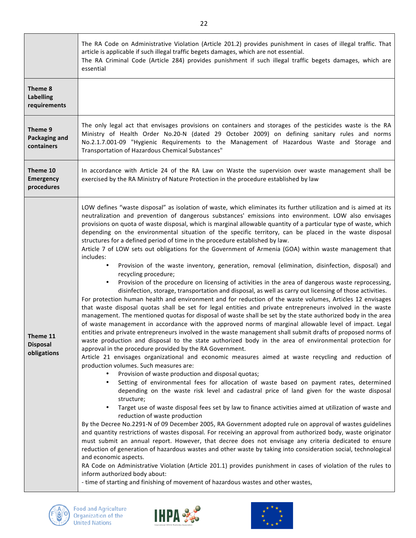|                                             | The RA Code on Administrative Violation (Article 201.2) provides punishment in cases of illegal traffic. That<br>article is applicable if such illegal traffic begets damages, which are not essential.<br>The RA Criminal Code (Article 284) provides punishment if such illegal traffic begets damages, which are<br>essential                                                                                                                                                                                                                                                                                                                                                                                                                                                                                                                                                                                                                                                                                                                                                                                                                                                                                                                                                                                                                                                                                                                                                                                                                                                                                                                                                                                                                                                                                                                                                                                                                                                                                                                                                                                                                                                                                                                                                                                                                                                                                                                                                                                                                                                                                                                                                                                                                                                                                                                                                                                                                                                                                                                                                |
|---------------------------------------------|---------------------------------------------------------------------------------------------------------------------------------------------------------------------------------------------------------------------------------------------------------------------------------------------------------------------------------------------------------------------------------------------------------------------------------------------------------------------------------------------------------------------------------------------------------------------------------------------------------------------------------------------------------------------------------------------------------------------------------------------------------------------------------------------------------------------------------------------------------------------------------------------------------------------------------------------------------------------------------------------------------------------------------------------------------------------------------------------------------------------------------------------------------------------------------------------------------------------------------------------------------------------------------------------------------------------------------------------------------------------------------------------------------------------------------------------------------------------------------------------------------------------------------------------------------------------------------------------------------------------------------------------------------------------------------------------------------------------------------------------------------------------------------------------------------------------------------------------------------------------------------------------------------------------------------------------------------------------------------------------------------------------------------------------------------------------------------------------------------------------------------------------------------------------------------------------------------------------------------------------------------------------------------------------------------------------------------------------------------------------------------------------------------------------------------------------------------------------------------------------------------------------------------------------------------------------------------------------------------------------------------------------------------------------------------------------------------------------------------------------------------------------------------------------------------------------------------------------------------------------------------------------------------------------------------------------------------------------------------------------------------------------------------------------------------------------------------|
| Theme 8<br><b>Labelling</b><br>requirements |                                                                                                                                                                                                                                                                                                                                                                                                                                                                                                                                                                                                                                                                                                                                                                                                                                                                                                                                                                                                                                                                                                                                                                                                                                                                                                                                                                                                                                                                                                                                                                                                                                                                                                                                                                                                                                                                                                                                                                                                                                                                                                                                                                                                                                                                                                                                                                                                                                                                                                                                                                                                                                                                                                                                                                                                                                                                                                                                                                                                                                                                                 |
| Theme 9<br>Packaging and<br>containers      | The only legal act that envisages provisions on containers and storages of the pesticides waste is the RA<br>Ministry of Health Order No.20-N (dated 29 October 2009) on defining sanitary rules and norms<br>No.2.1.7.001-09 "Hygienic Requirements to the Management of Hazardous Waste and Storage and<br>Transportation of Hazardous Chemical Substances"                                                                                                                                                                                                                                                                                                                                                                                                                                                                                                                                                                                                                                                                                                                                                                                                                                                                                                                                                                                                                                                                                                                                                                                                                                                                                                                                                                                                                                                                                                                                                                                                                                                                                                                                                                                                                                                                                                                                                                                                                                                                                                                                                                                                                                                                                                                                                                                                                                                                                                                                                                                                                                                                                                                   |
| Theme 10<br><b>Emergency</b><br>procedures  | In accordance with Article 24 of the RA Law on Waste the supervision over waste management shall be<br>exercised by the RA Ministry of Nature Protection in the procedure established by law                                                                                                                                                                                                                                                                                                                                                                                                                                                                                                                                                                                                                                                                                                                                                                                                                                                                                                                                                                                                                                                                                                                                                                                                                                                                                                                                                                                                                                                                                                                                                                                                                                                                                                                                                                                                                                                                                                                                                                                                                                                                                                                                                                                                                                                                                                                                                                                                                                                                                                                                                                                                                                                                                                                                                                                                                                                                                    |
| Theme 11<br><b>Disposal</b><br>obligations  | LOW defines "waste disposal" as isolation of waste, which eliminates its further utilization and is aimed at its<br>neutralization and prevention of dangerous substances' emissions into environment. LOW also envisages<br>provisions on quota of waste disposal, which is marginal allowable quantity of a particular type of waste, which<br>depending on the environmental situation of the specific territory, can be placed in the waste disposal<br>structures for a defined period of time in the procedure established by law.<br>Article 7 of LOW sets out obligations for the Government of Armenia (GOA) within waste management that<br>includes:<br>Provision of the waste inventory, generation, removal (elimination, disinfection, disposal) and<br>recycling procedure;<br>Provision of the procedure on licensing of activities in the area of dangerous waste reprocessing,<br>$\bullet$<br>disinfection, storage, transportation and disposal, as well as carry out licensing of those activities.<br>For protection human health and environment and for reduction of the waste volumes, Articles 12 envisages<br>that waste disposal quotas shall be set for legal entities and private entrepreneurs involved in the waste<br>management. The mentioned quotas for disposal of waste shall be set by the state authorized body in the area<br>of waste management in accordance with the approved norms of marginal allowable level of impact. Legal<br>entities and private entrepreneurs involved in the waste management shall submit drafts of proposed norms of<br>waste production and disposal to the state authorized body in the area of environmental protection for<br>approval in the procedure provided by the RA Government.<br>Article 21 envisages organizational and economic measures aimed at waste recycling and reduction of<br>production volumes. Such measures are:<br>Provision of waste production and disposal quotas;<br>Setting of environmental fees for allocation of waste based on payment rates, determined<br>$\bullet$<br>depending on the waste risk level and cadastral price of land given for the waste disposal<br>structure;<br>Target use of waste disposal fees set by law to finance activities aimed at utilization of waste and<br>$\bullet$<br>reduction of waste production<br>By the Decree No.2291-N of 09 December 2005, RA Government adopted rule on approval of wastes guidelines<br>and quantity restrictions of wastes disposal. For receiving an approval from authorized body, waste originator<br>must submit an annual report. However, that decree does not envisage any criteria dedicated to ensure<br>reduction of generation of hazardous wastes and other waste by taking into consideration social, technological<br>and economic aspects.<br>RA Code on Administrative Violation (Article 201.1) provides punishment in cases of violation of the rules to<br>inform authorized body about:<br>- time of starting and finishing of movement of hazardous wastes and other wastes, |



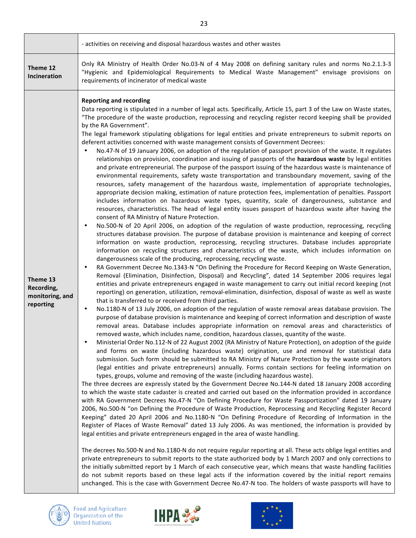|                                                        | - activities on receiving and disposal hazardous wastes and other wastes                                                                                                                                                                                                                                                                                                                                                                                                                                                                                                                                                                                                                                                                                                                                                                                                                                                                                                                                                                                                                                                                                                                                                                                                                                                                                                                                                                                                                                                                                                                                                                                                                                                                                                                                                                                                                                                                                                                                                                                                                                                                                                                                                                                                                                                                                                                                                                                                                                                                                                                                                                                                                                                                                                                                                                                                                                                                                                                                                                                                                                                                                                                                                                                                                                                                                                                                                                                                                                                                                                                                                                                                                                                                                                                                                                                                                                                                                                                                                                                                                                                                                                                                                                                                                                                                                                                                                                                                                                                                                                                                                                                                                                                                                                          |
|--------------------------------------------------------|-----------------------------------------------------------------------------------------------------------------------------------------------------------------------------------------------------------------------------------------------------------------------------------------------------------------------------------------------------------------------------------------------------------------------------------------------------------------------------------------------------------------------------------------------------------------------------------------------------------------------------------------------------------------------------------------------------------------------------------------------------------------------------------------------------------------------------------------------------------------------------------------------------------------------------------------------------------------------------------------------------------------------------------------------------------------------------------------------------------------------------------------------------------------------------------------------------------------------------------------------------------------------------------------------------------------------------------------------------------------------------------------------------------------------------------------------------------------------------------------------------------------------------------------------------------------------------------------------------------------------------------------------------------------------------------------------------------------------------------------------------------------------------------------------------------------------------------------------------------------------------------------------------------------------------------------------------------------------------------------------------------------------------------------------------------------------------------------------------------------------------------------------------------------------------------------------------------------------------------------------------------------------------------------------------------------------------------------------------------------------------------------------------------------------------------------------------------------------------------------------------------------------------------------------------------------------------------------------------------------------------------------------------------------------------------------------------------------------------------------------------------------------------------------------------------------------------------------------------------------------------------------------------------------------------------------------------------------------------------------------------------------------------------------------------------------------------------------------------------------------------------------------------------------------------------------------------------------------------------------------------------------------------------------------------------------------------------------------------------------------------------------------------------------------------------------------------------------------------------------------------------------------------------------------------------------------------------------------------------------------------------------------------------------------------------------------------------------------------------------------------------------------------------------------------------------------------------------------------------------------------------------------------------------------------------------------------------------------------------------------------------------------------------------------------------------------------------------------------------------------------------------------------------------------------------------------------------------------------------------------------------------------------------------------------------------------------------------------------------------------------------------------------------------------------------------------------------------------------------------------------------------------------------------------------------------------------------------------------------------------------------------------------------------------------------------------------------------------------------------------------------------------------------|
| Theme 12<br>Incineration                               | Only RA Ministry of Health Order No.03-N of 4 May 2008 on defining sanitary rules and norms No.2.1.3-3<br>"Hygienic and Epidemiological Requirements to Medical Waste Management" envisage provisions on<br>requirements of incinerator of medical waste                                                                                                                                                                                                                                                                                                                                                                                                                                                                                                                                                                                                                                                                                                                                                                                                                                                                                                                                                                                                                                                                                                                                                                                                                                                                                                                                                                                                                                                                                                                                                                                                                                                                                                                                                                                                                                                                                                                                                                                                                                                                                                                                                                                                                                                                                                                                                                                                                                                                                                                                                                                                                                                                                                                                                                                                                                                                                                                                                                                                                                                                                                                                                                                                                                                                                                                                                                                                                                                                                                                                                                                                                                                                                                                                                                                                                                                                                                                                                                                                                                                                                                                                                                                                                                                                                                                                                                                                                                                                                                                          |
| Theme 13<br>Recording,<br>monitoring, and<br>reporting | <b>Reporting and recording</b><br>Data reporting is stipulated in a number of legal acts. Specifically, Article 15, part 3 of the Law on Waste states,<br>"The procedure of the waste production, reprocessing and recycling register record keeping shall be provided<br>by the RA Government".<br>The legal framework stipulating obligations for legal entities and private entrepreneurs to submit reports on<br>deferent activities concerned with waste management consists of Government Decrees:<br>No.47-N of 19 January 2006, on adoption of the regulation of passport provision of the waste. It regulates<br>relationships on provision, coordination and issuing of passports of the hazardous waste by legal entities<br>and private entrepreneurial. The purpose of the passport issuing of the hazardous waste is maintenance of<br>environmental requirements, safety waste transportation and transboundary movement, saving of the<br>resources, safety management of the hazardous waste, implementation of appropriate technologies,<br>appropriate decision making, estimation of nature protection fees, implementation of penalties. Passport<br>includes information on hazardous waste types, quantity, scale of dangerousness, substance and<br>resources, characteristics. The head of legal entity issues passport of hazardous waste after having the<br>consent of RA Ministry of Nature Protection.<br>No.500-N of 20 April 2006, on adoption of the regulation of waste production, reprocessing, recycling<br>$\bullet$<br>structures database provision. The purpose of database provision is maintenance and keeping of correct<br>information on waste production, reprocessing, recycling structures. Database includes appropriate<br>information on recycling structures and characteristics of the waste, which includes information on<br>dangerousness scale of the producing, reprocessing, recycling waste.<br>RA Government Decree No.1343-N "On Defining the Procedure for Record Keeping on Waste Generation,<br>٠<br>Removal (Elimination, Disinfection, Disposal) and Recycling", dated 14 September 2006 requires legal<br>entities and private entrepreneurs engaged in waste management to carry out initial record keeping (not<br>reporting) on generation, utilization, removal-elimination, disinfection, disposal of waste as well as waste<br>that is transferred to or received from third parties.<br>No.1180-N of 13 July 2006, on adoption of the regulation of waste removal areas database provision. The<br>$\bullet$<br>purpose of database provision is maintenance and keeping of correct information and description of waste<br>removal areas. Database includes appropriate information on removal areas and characteristics of<br>removed waste, which includes name, condition, hazardous classes, quantity of the waste.<br>Ministerial Order No.112-N of 22 August 2002 (RA Ministry of Nature Protection), on adoption of the guide<br>$\bullet$<br>and forms on waste (including hazardous waste) origination, use and removal for statistical data<br>submission. Such form should be submitted to RA Ministry of Nature Protection by the waste originators<br>(legal entities and private entrepreneurs) annually. Forms contain sections for feeling information on<br>types, groups, volume and removing of the waste (including hazardous waste).<br>The three decrees are expressly stated by the Government Decree No.144-N dated 18 January 2008 according<br>to which the waste state cadaster is created and carried out based on the information provided in accordance<br>with RA Government Decrees No.47-N "On Defining Procedure for Waste Passportization" dated 19 January<br>2006, No.500-N "on Defining the Procedure of Waste Production, Reprocessing and Recycling Register Record<br>Keeping" dated 20 April 2006 and No.1180-N "On Defining Procedure of Recording of Information in the<br>Register of Places of Waste Removal" dated 13 July 2006. As was mentioned, the information is provided by<br>legal entities and private entrepreneurs engaged in the area of waste handling.<br>The decrees No.500-N and No.1180-N do not require regular reporting at all. These acts oblige legal entities and<br>private entrepreneurs to submit reports to the state authorized body by 1 March 2007 and only corrections to<br>the initially submitted report by 1 March of each consecutive year, which means that waste handling facilities<br>do not submit reports based on these legal acts if the information covered by the initial report remains<br>unchanged. This is the case with Government Decree No.47-N too. The holders of waste passports will have to |





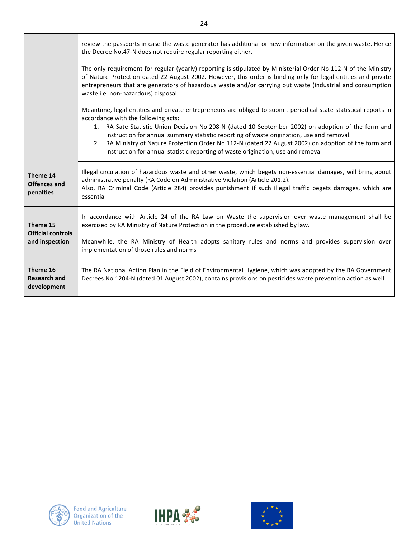|                                                        | review the passports in case the waste generator has additional or new information on the given waste. Hence<br>the Decree No.47-N does not require regular reporting either.                                                                                                                                                                                                                                                                                                                                                                              |
|--------------------------------------------------------|------------------------------------------------------------------------------------------------------------------------------------------------------------------------------------------------------------------------------------------------------------------------------------------------------------------------------------------------------------------------------------------------------------------------------------------------------------------------------------------------------------------------------------------------------------|
|                                                        | The only requirement for regular (yearly) reporting is stipulated by Ministerial Order No.112-N of the Ministry<br>of Nature Protection dated 22 August 2002. However, this order is binding only for legal entities and private<br>entrepreneurs that are generators of hazardous waste and/or carrying out waste (industrial and consumption<br>waste i.e. non-hazardous) disposal.                                                                                                                                                                      |
|                                                        | Meantime, legal entities and private entrepreneurs are obliged to submit periodical state statistical reports in<br>accordance with the following acts:<br>1. RA Sate Statistic Union Decision No.208-N (dated 10 September 2002) on adoption of the form and<br>instruction for annual summary statistic reporting of waste origination, use and removal.<br>RA Ministry of Nature Protection Order No.112-N (dated 22 August 2002) on adoption of the form and<br>2.<br>instruction for annual statistic reporting of waste origination, use and removal |
| Theme 14<br><b>Offences and</b><br>penalties           | Illegal circulation of hazardous waste and other waste, which begets non-essential damages, will bring about<br>administrative penalty (RA Code on Administrative Violation (Article 201.2).<br>Also, RA Criminal Code (Article 284) provides punishment if such illegal traffic begets damages, which are<br>essential                                                                                                                                                                                                                                    |
| Theme 15<br><b>Official controls</b><br>and inspection | In accordance with Article 24 of the RA Law on Waste the supervision over waste management shall be<br>exercised by RA Ministry of Nature Protection in the procedure established by law.<br>Meanwhile, the RA Ministry of Health adopts sanitary rules and norms and provides supervision over<br>implementation of those rules and norms                                                                                                                                                                                                                 |
| Theme 16<br><b>Research and</b><br>development         | The RA National Action Plan in the Field of Environmental Hygiene, which was adopted by the RA Government<br>Decrees No.1204-N (dated 01 August 2002), contains provisions on pesticides waste prevention action as well                                                                                                                                                                                                                                                                                                                                   |





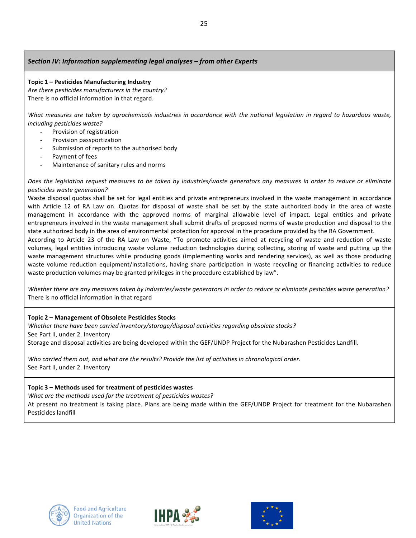### *Section IV: Information supplementing legal analyses – from other Experts*

### **Topic 1 – Pesticides Manufacturing Industry**

Are there pesticides manufacturers in the country? There is no official information in that regard.

What measures are taken by agrochemicals industries in accordance with the national legislation in regard to hazardous waste, *including pesticides waste?*

- Provision of registration
- Provision passportization
- Submission of reports to the authorised body
- Payment of fees
- Maintenance of sanitary rules and norms

Does the legislation request measures to be taken by industries/waste generators any measures in order to reduce or eliminate *pesticides waste generation?*

Waste disposal quotas shall be set for legal entities and private entrepreneurs involved in the waste management in accordance with Article 12 of RA Law on. Quotas for disposal of waste shall be set by the state authorized body in the area of waste management in accordance with the approved norms of marginal allowable level of impact. Legal entities and private entrepreneurs involved in the waste management shall submit drafts of proposed norms of waste production and disposal to the state authorized body in the area of environmental protection for approval in the procedure provided by the RA Government.

According to Article 23 of the RA Law on Waste, "To promote activities aimed at recycling of waste and reduction of waste volumes, legal entities introducing waste volume reduction technologies during collecting, storing of waste and putting up the waste management structures while producing goods (implementing works and rendering services), as well as those producing waste volume reduction equipment/installations, having share participation in waste recycling or financing activities to reduce waste production volumes may be granted privileges in the procedure established by law".

Whether there are any measures taken by industries/waste generators in order to reduce or eliminate pesticides waste generation? There is no official information in that regard

### Topic 2 - Management of Obsolete Pesticides Stocks

*Whether there have been carried inventory/storage/disposal activities regarding obsolete stocks?* See Part II, under 2. Inventory

Storage and disposal activities are being developed within the GEF/UNDP Project for the Nubarashen Pesticides Landfill.

*Who carried them out, and what are the results? Provide the list of activities in chronological order.* See Part II, under 2. Inventory

### **Topic 3 – Methods used for treatment of pesticides wastes**

*What are the methods used for the treatment of pesticides wastes?* 

At present no treatment is taking place. Plans are being made within the GEF/UNDP Project for treatment for the Nubarashen Pesticides landfill





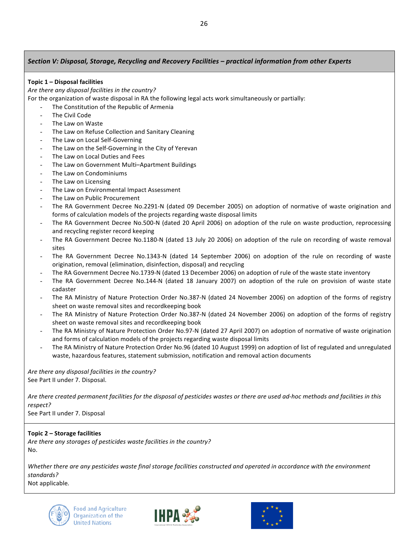### *Section V: Disposal, Storage, Recycling and Recovery Facilities – practical information from other Experts*

### **Topic 1 – Disposal facilities**

Are there any disposal facilities in the country?

For the organization of waste disposal in RA the following legal acts work simultaneously or partially:

- The Constitution of the Republic of Armenia
	- The Civil Code
	- The Law on Waste
	- The Law on Refuse Collection and Sanitary Cleaning
	- The Law on Local Self-Governing
- The Law on the Self-Governing in the City of Yerevan
- The Law on Local Duties and Fees
- The Law on Government Multi-Apartment Buildings
- The Law on Condominiums
- The Law on Licensing
- The Law on Environmental Impact Assessment
- The Law on Public Procurement
- The RA Government Decree No.2291-N (dated 09 December 2005) on adoption of normative of waste origination and forms of calculation models of the projects regarding waste disposal limits
- The RA Government Decree No.500-N (dated 20 April 2006) on adoption of the rule on waste production, reprocessing and recycling register record keeping
- The RA Government Decree No.1180-N (dated 13 July 20 2006) on adoption of the rule on recording of waste removal sites
- The RA Government Decree No.1343-N (dated 14 September 2006) on adoption of the rule on recording of waste origination, removal (elimination, disinfection, disposal) and recycling
- The RA Government Decree No.1739-N (dated 13 December 2006) on adoption of rule of the waste state inventory
- The RA Government Decree No.144-N (dated 18 January 2007) on adoption of the rule on provision of waste state cadaster
- The RA Ministry of Nature Protection Order No.387-N (dated 24 November 2006) on adoption of the forms of registry sheet on waste removal sites and recordkeeping book
- The RA Ministry of Nature Protection Order No.387-N (dated 24 November 2006) on adoption of the forms of registry sheet on waste removal sites and recordkeeping book
- The RA Ministry of Nature Protection Order No.97-N (dated 27 April 2007) on adoption of normative of waste origination and forms of calculation models of the projects regarding waste disposal limits
- The RA Ministry of Nature Protection Order No.96 (dated 10 August 1999) on adoption of list of regulated and unregulated waste, hazardous features, statement submission, notification and removal action documents

Are there any disposal facilities in the country? See Part II under 7. Disposal.

Are there created permanent facilities for the disposal of pesticides wastes or there are used ad-hoc methods and facilities in this *respect?*

See Part II under 7. Disposal

### **Topic 2 – Storage facilities**

Are there any storages of pesticides waste facilities in the country? No.

Whether there are any pesticides waste final storage facilities constructed and operated in accordance with the environment *standards?*

Not applicable*.*





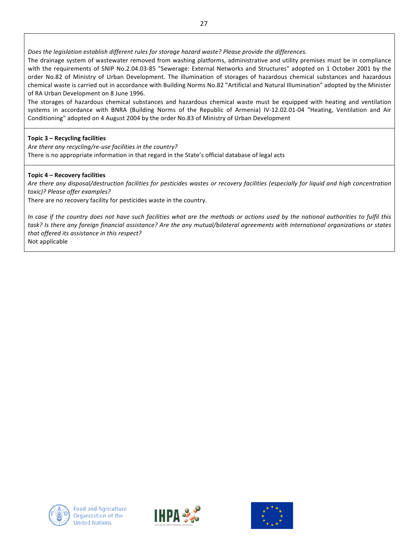Does the *legislation establish different rules for storage hazard waste?* Please provide the differences.

The drainage system of wastewater removed from washing platforms, administrative and utility premises must be in compliance with the requirements of SNIP No.2.04.03-85 "Sewerage: External Networks and Structures" adopted on 1 October 2001 by the order No.82 of Ministry of Urban Development. The illumination of storages of hazardous chemical substances and hazardous chemical waste is carried out in accordance with Building Norms No.82 "Artificial and Natural Illumination" adopted by the Minister of RA Urban Development on 8 June 1996.

The storages of hazardous chemical substances and hazardous chemical waste must be equipped with heating and ventilation systems in accordance with BNRA (Building Norms of the Republic of Armenia) IV-12.02.01-04 "Heating, Ventilation and Air Conditioning" adopted on 4 August 2004 by the order No.83 of Ministry of Urban Development

### Topic 3 – Recycling facilities

Are there any recycling/re-use facilities in the country? There is no appropriate information in that regard in the State's official database of legal acts

### **Topic 4 – Recovery facilities**

Are there any disposal/destruction facilities for pesticides wastes or recovery facilities (especially for liquid and high concentration *toxic)? Please offer examples?*

There are no recovery facility for pesticides waste in the country.

In case if the country does not have such facilities what are the methods or actions used by the national authorities to fulfil this task? Is there any foreign financial assistance? Are the any mutual/bilateral agreements with international organizations or states *that offered its assistance in this respect?* Not applicable





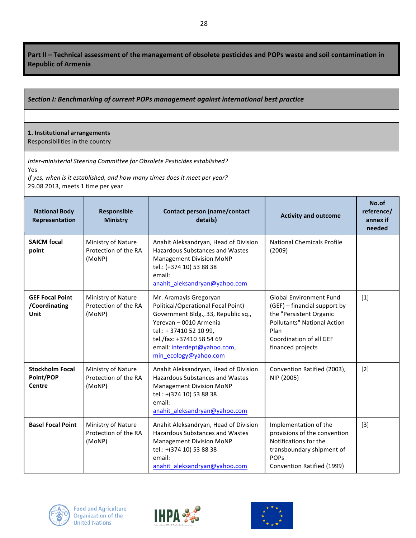Part II - Technical assessment of the management of obsolete pesticides and POPs waste and soil contamination in **Republic of Armenia**

## Section I: Benchmarking of current POPs management against international best practice

# **1. Institutional arrangements**

Responsibilities in the country

**Inter-ministerial Steering Committee for Obsolete Pesticides established?** Yes

*If* yes, when is it established, and how many times does it meet per year? 29.08.2013, meets 1 time per year

| <b>National Body</b><br>Representation          | Responsible<br><b>Ministry</b>                       | <b>Contact person (name/contact</b><br>details)                                                                                                                                                                                               | <b>Activity and outcome</b>                                                                                                                                                             | No.of<br>reference/<br>annex if<br>needed |
|-------------------------------------------------|------------------------------------------------------|-----------------------------------------------------------------------------------------------------------------------------------------------------------------------------------------------------------------------------------------------|-----------------------------------------------------------------------------------------------------------------------------------------------------------------------------------------|-------------------------------------------|
| <b>SAICM focal</b><br>point                     | Ministry of Nature<br>Protection of the RA<br>(MoNP) | Anahit Aleksandryan, Head of Division<br>Hazardous Substances and Wastes<br><b>Management Division MoNP</b><br>tel.: (+374 10) 53 88 38<br>email:<br>anahit_aleksandryan@yahoo.com                                                            | <b>National Chemicals Profile</b><br>(2009)                                                                                                                                             |                                           |
| <b>GEF Focal Point</b><br>/Coordinating<br>Unit | Ministry of Nature<br>Protection of the RA<br>(MoNP) | Mr. Aramayis Gregoryan<br>Political/Operational Focal Point)<br>Government Bldg., 33, Republic sq.,<br>Yerevan - 0010 Armenia<br>tel.: + 37410 52 10 99,<br>tel./fax: +37410 58 54 69<br>email: interdept@yahoo.com,<br>min_ecology@yahoo.com | <b>Global Environment Fund</b><br>(GEF) - financial support by<br>the "Persistent Organic<br><b>Pollutants" National Action</b><br>Plan<br>Coordination of all GEF<br>financed projects | $[1]$                                     |
| <b>Stockholm Focal</b><br>Point/POP<br>Centre   | Ministry of Nature<br>Protection of the RA<br>(MoNP) | Anahit Aleksandryan, Head of Division<br>Hazardous Substances and Wastes<br><b>Management Division MoNP</b><br>tel.: +(374 10) 53 88 38<br>email:<br>anahit_aleksandryan@yahoo.com                                                            | Convention Ratified (2003),<br>NIP (2005)                                                                                                                                               | $[2]$                                     |
| <b>Basel Focal Point</b>                        | Ministry of Nature<br>Protection of the RA<br>(MoNP) | Anahit Aleksandryan, Head of Division<br><b>Hazardous Substances and Wastes</b><br><b>Management Division MoNP</b><br>tel.: +(374 10) 53 88 38<br>email:<br>anahit aleksandryan@yahoo.com                                                     | Implementation of the<br>provisions of the convention<br>Notifications for the<br>transboundary shipment of<br><b>POPs</b><br>Convention Ratified (1999)                                | $[3]$                                     |





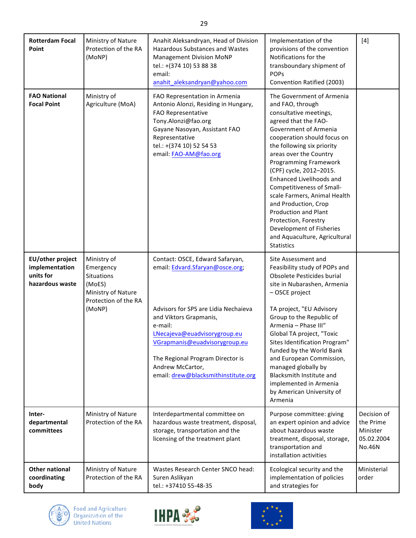| <b>Rotterdam Focal</b><br>Point                                    | Ministry of Nature<br>Protection of the RA<br>(MoNP)                                                     | Anahit Aleksandryan, Head of Division<br><b>Hazardous Substances and Wastes</b><br><b>Management Division MoNP</b><br>tel.: +(374 10) 53 88 38<br>email:<br>anahit_aleksandryan@yahoo.com                                                                                                                       | Implementation of the<br>provisions of the convention<br>Notifications for the<br>transboundary shipment of<br><b>POPS</b><br>Convention Ratified (2003)                                                                                                                                                                                                                                                                                                                                                                             | $[4]$                                                        |
|--------------------------------------------------------------------|----------------------------------------------------------------------------------------------------------|-----------------------------------------------------------------------------------------------------------------------------------------------------------------------------------------------------------------------------------------------------------------------------------------------------------------|--------------------------------------------------------------------------------------------------------------------------------------------------------------------------------------------------------------------------------------------------------------------------------------------------------------------------------------------------------------------------------------------------------------------------------------------------------------------------------------------------------------------------------------|--------------------------------------------------------------|
| <b>FAO National</b><br><b>Focal Point</b>                          | Ministry of<br>Agriculture (MoA)                                                                         | FAO Representation in Armenia<br>Antonio Alonzi, Residing in Hungary,<br>FAO Representative<br>Tony.Alonzi@fao.org<br>Gayane Nasoyan, Assistant FAO<br>Representative<br>tel.: +(374 10) 52 54 53<br>email: FAO-AM@fao.org                                                                                      | The Government of Armenia<br>and FAO, through<br>consultative meetings,<br>agreed that the FAO-<br>Government of Armenia<br>cooperation should focus on<br>the following six priority<br>areas over the Country<br><b>Programming Framework</b><br>(CPF) cycle, 2012-2015.<br>Enhanced Livelihoods and<br>Competitiveness of Small-<br>scale Farmers, Animal Health<br>and Production, Crop<br><b>Production and Plant</b><br>Protection, Forestry<br>Development of Fisheries<br>and Aquaculture, Agricultural<br><b>Statistics</b> |                                                              |
| EU/other project<br>implementation<br>units for<br>hazardous waste | Ministry of<br>Emergency<br>Situations<br>(MoES)<br>Ministry of Nature<br>Protection of the RA<br>(MoNP) | Contact: OSCE, Edward Safaryan,<br>email: Edvard.Sfaryan@osce.org;<br>Advisors for SPS are Lidia Nechaieva<br>and Viktors Grapmanis,<br>e-mail:<br>LNecajeva@euadvisorygroup.eu<br>VGrapmanis@euadvisorygroup.eu<br>The Regional Program Director is<br>Andrew McCartor,<br>email: drew@blacksmithinstitute.org | Site Assessment and<br>Feasibility study of POPs and<br>Obsolete Pesticides burial<br>site in Nubarashen, Armenia<br>- OSCE project<br>TA project, "EU Advisory<br>Group to the Republic of<br>Armenia - Phase III"<br>Global TA project, "Toxic<br>Sites Identification Program"<br>funded by the World Bank<br>and European Commission,<br>managed globally by<br><b>Blacksmith Institute and</b><br>implemented in Armenia<br>by American University of<br>Armenia                                                                |                                                              |
| Inter-<br>departmental<br>committees                               | Ministry of Nature<br>Protection of the RA                                                               | Interdepartmental committee on<br>hazardous waste treatment, disposal,<br>storage, transportation and the<br>licensing of the treatment plant                                                                                                                                                                   | Purpose committee: giving<br>an expert opinion and advice<br>about hazardous waste<br>treatment, disposal, storage,<br>transportation and<br>installation activities                                                                                                                                                                                                                                                                                                                                                                 | Decision of<br>the Prime<br>Minister<br>05.02.2004<br>No.46N |
| <b>Other national</b><br>coordinating<br>body                      | Ministry of Nature<br>Protection of the RA                                                               | Wastes Research Center SNCO head:<br>Suren Aslikyan<br>tel.: +37410 55-48-35                                                                                                                                                                                                                                    | Ecological security and the<br>implementation of policies<br>and strategies for                                                                                                                                                                                                                                                                                                                                                                                                                                                      | Ministerial<br>order                                         |

Ĉ 0



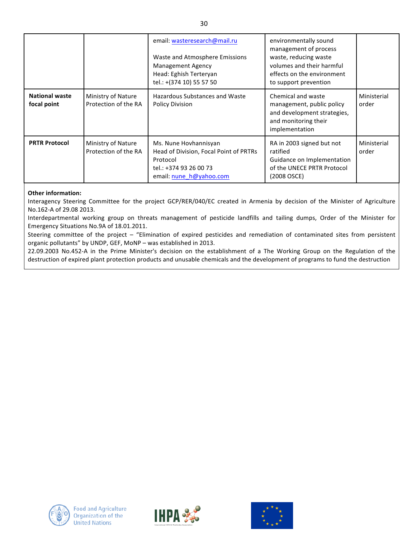|                                      |                                            | email: wasteresearch@mail.ru<br>Waste and Atmosphere Emissions<br><b>Management Agency</b><br>Head: Eghish Terteryan<br>tel.: +(374 10) 55 57 50 | environmentally sound<br>management of process<br>waste, reducing waste<br>volumes and their harmful<br>effects on the environment<br>to support prevention |                      |
|--------------------------------------|--------------------------------------------|--------------------------------------------------------------------------------------------------------------------------------------------------|-------------------------------------------------------------------------------------------------------------------------------------------------------------|----------------------|
| <b>National waste</b><br>focal point | Ministry of Nature<br>Protection of the RA | Hazardous Substances and Waste<br><b>Policy Division</b>                                                                                         | Chemical and waste<br>management, public policy<br>and development strategies,<br>and monitoring their<br>implementation                                    | Ministerial<br>order |
| <b>PRTR Protocol</b>                 | Ministry of Nature<br>Protection of the RA | Ms. Nune Hovhannisyan<br>Head of Division, Focal Point of PRTRs<br>Protocol<br>tel.: +374 93 26 00 73<br>email: nune h@yahoo.com                 | RA in 2003 signed but not<br>ratified<br>Guidance on Implementation<br>of the UNECE PRTR Protocol<br>(2008 OSCE)                                            | Ministerial<br>order |

### **Other information:**

Interagency Steering Committee for the project GCP/RER/040/EC created in Armenia by decision of the Minister of Agriculture No.162-A of 29.08 2013.

Interdepartmental working group on threats management of pesticide landfills and tailing dumps, Order of the Minister for Emergency Situations No.9A of 18.01.2011.

Steering committee of the project – "Elimination of expired pesticides and remediation of contaminated sites from persistent organic pollutants" by UNDP, GEF, MoNP – was established in 2013.

22.09.2003 No.452-A in the Prime Minister's decision on the establishment of a The Working Group on the Regulation of the destruction of expired plant protection products and unusable chemicals and the development of programs to fund the destruction





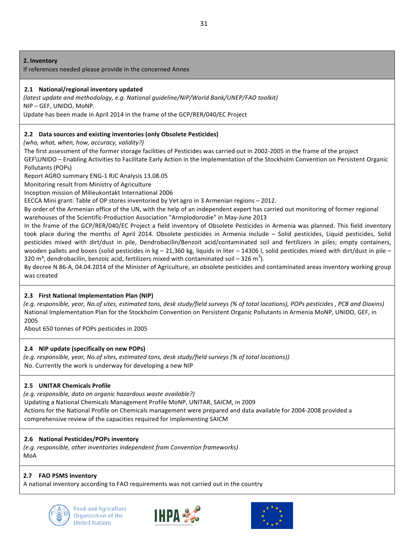### **2. Inventory**

If references needed please provide in the concerned Annex

### 2.1 National/regional inventory updated

*(latest update and methodology, e.g. National guideline/NIP/World Bank/UNEP/FAO toolkit)* NIP – GEF, UNIDO, MoNP.

Update has been made in April 2014 in the frame of the GCP/RER/040/EC Project

### **2.2** Data sources and existing inventories (only Obsolete Pesticides)

*(who, what, when, how, accuracy, validity?)*

The first assessment of the former storage facilities of Pesticides was carried out in 2002-2005 in the frame of the project GEF\UNIDO – Enabling Activities to Facilitate Early Action in the Implementation of the Stockholm Convention on Persistent Organic Pollutants (POPs)

Report AGRO summary ENG-1 RJC Analysis 13.08.05

Monitoring result from Ministry of Agriculture

Inception mission of Milieukontakt International 2006

EECCA Mini grant: Table of OP stores inventoried by Vet agro in 3 Armenian regions – 2012.

By order of the Armenian office of the UN, with the help of an independent expert has carried out monitoring of former regional warehouses of the Scientific-Production Association "Armplodorodie" in May-June 2013

In the frame of the GCP/RER/040/EC Project a field inventory of Obsolete Pesticides in Armenia was planned. This field inventory took place during the months of April 2014. Obsolete pesticides in Armenia include – Solid pesticides, Liquid pesticides, Solid pesticides mixed with dirt/dust in pile, Dendrobacilin/Benzoit acid/contaminated soil and fertilizers in piles; empty containers, wooden pallets and boxes (solid pesticides in kg  $- 21,360$  kg, liquids in liter  $- 14306$  l, solid pesticides mixed with dirt/dust in pile  $-$ 320 m<sup>3</sup>, dendrobacilin, benzoic acid, fertilizers mixed with contaminated soil – 326 m<sup>3</sup>).

By decree N 86-A, 04.04.2014 of the Minister of Agriculture, an obsolete pesticides and contaminated areas inventory working group was created

### **2.3 First National Implementation Plan (NIP)**

*(e.g. responsible, year, No.of sites, estimated tons, desk study/field surveys (% of total locations), POPs pesticides , PCB and Dioxins)* National Implementation Plan for the Stockholm Convention on Persistent Organic Pollutants in Armenia MoNP, UNIDO, GEF, in 2005

About 650 tonnes of POPs pesticides in 2005

### **2.4 NIP** update (specifically on new POPs)

(e.g. responsible, year, No.of sites, estimated tons, desk study/field surveys (% of total locations)) Nо. Currently the work is underway for developing a new NIP

### **2.5 UNITAR Chemicals Profile**

*(e.g. responsible, data on organic hazardous waste available?)*

Updating a National Chemicals Management Profile MoNP, UNITAR, SAICM, in 2009 Actions for the National Profile on Chemicals management were prepared and data available for 2004-2008 provided a comprehensive review of the capacities required for implementing SAICM

### **2.6** National Pesticides/POPs inventory

*(e.g. responsible, other inventories independent from Convention frameworks)* MoA

### **2.7 FAO PSMS inventory**

A national inventory according to FAO requirements was not carried out in the country





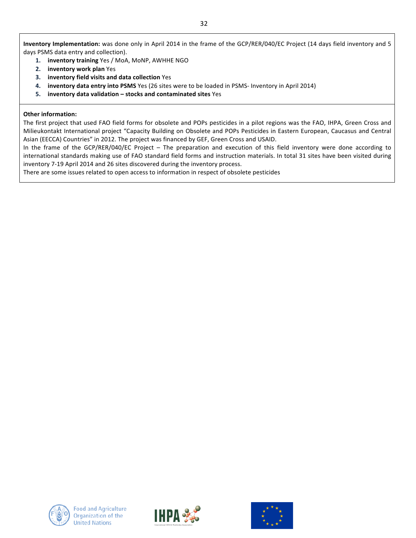Inventory Implementation: was done only in April 2014 in the frame of the GCP/RER/040/EC Project (14 days field inventory and 5 days PSMS data entry and collection).

- 1. **inventory training** Yes / MoA, MoNP, AWHHE NGO
- **2. inventory** work plan Yes
- **3. inventory field visits and data collection** Yes
- **4. inventory data entry into PSMS** Yes (26 sites were to be loaded in PSMS- Inventory in April 2014)
- **5. inventory data validation stocks** and **contaminated sites** Yes

### **Other information:**

The first project that used FAO field forms for obsolete and POPs pesticides in a pilot regions was the FAO, IHPA, Green Cross and Milieukontakt International project "Capacity Building on Obsolete and POPs Pesticides in Eastern European, Caucasus and Central Asian (EECCA) Countries" in 2012. The project was financed by GEF, Green Cross and USAID.

In the frame of the GCP/RER/040/EC Project – The preparation and execution of this field inventory were done according to international standards making use of FAO standard field forms and instruction materials. In total 31 sites have been visited during inventory 7-19 April 2014 and 26 sites discovered during the inventory process.

There are some issues related to open access to information in respect of obsolete pesticides





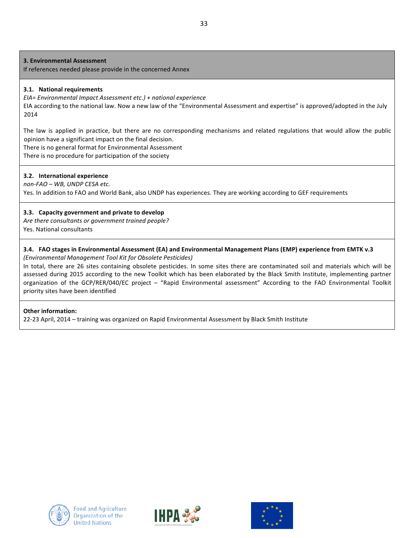**3. Environmental Assessment** 

If references needed please provide in the concerned Annex

### **3.1. National requirements**

*EIA= Environmental Impact Assessment etc.) + national experience*

EIA according to the national law. Now a new law of the "Environmental Assessment and expertise" is approved/adopted in the July 2014

The law is applied in practice, but there are no corresponding mechanisms and related regulations that would allow the public opinion have a significant impact on the final decision.

There is no general format for Environmental Assessment

There is no procedure for participation of the society

### **3.2. International experience**

*non-FAO – WB, UNDP CESA etc.* Yes. In addition to FAO and World Bank, also UNDP has experiences. They are working according to GEF requirements

### **3.3.** Capacity government and private to develop

Are there consultants or government trained people? Yes. National consultants

# **3.4.** FAO stages in Environmental Assessment (EA) and Environmental Management Plans (EMP) experience from EMTK v.3

*(Environmental Management Tool Kit for Obsolete Pesticides)* 

In total, there are 26 sites containing obsolete pesticides. In some sites there are contaminated soil and materials which will be assessed during 2015 according to the new Toolkit which has been elaborated by the Black Smith Institute, implementing partner organization of the GCP/RER/040/EC project – "Rapid Environmental assessment" According to the FAO Environmental Toolkit priority sites have been identified

### **Other information:**

22-23 April, 2014 – training was organized on Rapid Environmental Assessment by Black Smith Institute





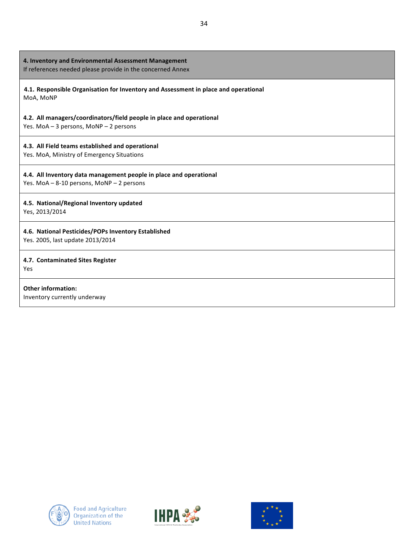| 4. Inventory and Environmental Assessment Management<br>If references needed please provide in the concerned Annex |
|--------------------------------------------------------------------------------------------------------------------|
| 4.1. Responsible Organisation for Inventory and Assessment in place and operational<br>MoA, MoNP                   |
| 4.2. All managers/coordinators/field people in place and operational<br>Yes. MoA - 3 persons, MoNP - 2 persons     |
| 4.3. All Field teams established and operational<br>Yes. MoA, Ministry of Emergency Situations                     |
| 4.4. All Inventory data management people in place and operational<br>Yes. MoA - 8-10 persons, MoNP - 2 persons    |
| 4.5. National/Regional Inventory updated<br>Yes, 2013/2014                                                         |
| 4.6. National Pesticides/POPs Inventory Established<br>Yes. 2005, last update 2013/2014                            |
| 4.7. Contaminated Sites Register<br>Yes                                                                            |
| <b>Other information:</b><br>Inventory currently underway                                                          |





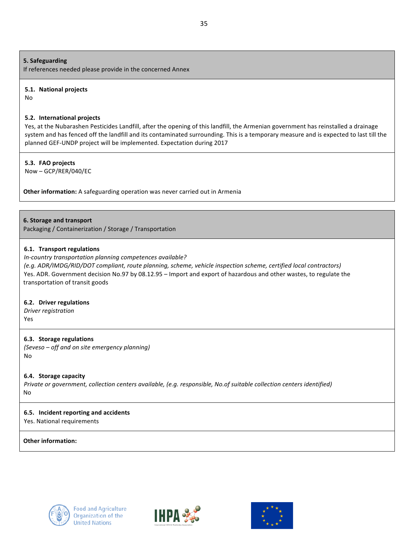### **5. Safeguarding**

If references needed please provide in the concerned Annex

#### **5.1. National projects**

No

### **5.2.** International projects

Yes, at the Nubarashen Pesticides Landfill, after the opening of this landfill, the Armenian government has reinstalled a drainage system and has fenced off the landfill and its contaminated surrounding. This is a temporary measure and is expected to last till the planned GEF-UNDP project will be implemented. Expectation during 2017

### **5.3. FAO projects**

Now – GCP/RER/040/EC

**Other information:** A safeguarding operation was never carried out in Armenia

### **6. Storage and transport**

Packaging / Containerization / Storage / Transportation

### **6.1. Transport regulations**

### *In-country transportation planning competences available?*

*(e.g. ADR/IMDG/RID/DOT compliant, route planning, scheme, vehicle inspection scheme, certified local contractors)* Yes. ADR. Government decision No.97 by 08.12.95 – Import and export of hazardous and other wastes, to regulate the transportation of transit goods

### **6.2. Driver regulations**

*Driver registration*

Yes

### **6.3. Storage regulations**

*(Seveso – off and on site emergency planning)* No

**6.4. Storage capacity** 

*Private or government, collection centers available, (e.g. responsible, No.of suitable collection centers identified)* No

### **6.5. Incident reporting and accidents**

Yes. National requirements

### **Other information:**





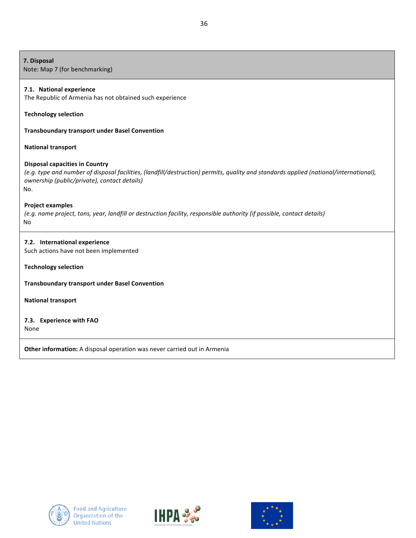| 7. Disposal<br>Note: Map 7 (for benchmarking)                                                                                                                                                                                         |
|---------------------------------------------------------------------------------------------------------------------------------------------------------------------------------------------------------------------------------------|
| 7.1. National experience<br>The Republic of Armenia has not obtained such experience                                                                                                                                                  |
| <b>Technology selection</b>                                                                                                                                                                                                           |
| <b>Transboundary transport under Basel Convention</b>                                                                                                                                                                                 |
| <b>National transport</b>                                                                                                                                                                                                             |
| <b>Disposal capacities in Country</b><br>(e.g. type and number of disposal facilities, (landfill/destruction) permits, quality and standards applied (national/international),<br>ownership (public/private), contact details)<br>No. |
| <b>Project examples</b><br>(e.g. name project, tons, year, landfill or destruction facility, responsible authority (if possible, contact details)<br>No                                                                               |
| 7.2. International experience<br>Such actions have not been implemented                                                                                                                                                               |
| <b>Technology selection</b>                                                                                                                                                                                                           |
| <b>Transboundary transport under Basel Convention</b>                                                                                                                                                                                 |
| <b>National transport</b>                                                                                                                                                                                                             |
| 7.3. Experience with FAO<br>None                                                                                                                                                                                                      |
| Other information: A disposal operation was never carried out in Armenia                                                                                                                                                              |





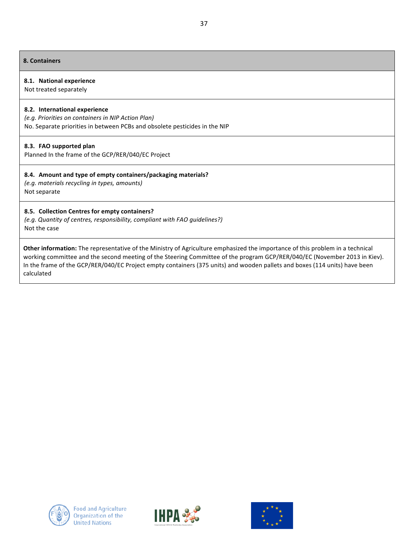#### **8. Containers**

#### **8.1. National experience**

Not treated separately

#### **8.2. International experience**

*(e.g. Priorities on containers in NIP Action Plan)* No. Separate priorities in between PCBs and obsolete pesticides in the NIP

#### **8.3. FAO supported plan**

Planned In the frame of the GCP/RER/040/EC Project

### 8.4. Amount and type of empty containers/packaging materials?

*(e.g. materials recycling in types, amounts)* Not separate

### **8.5. Collection Centres for empty containers?**

*(e.g. Quantity of centres, responsibility, compliant with FAO guidelines?)* Not the case

Other information: The representative of the Ministry of Agriculture emphasized the importance of this problem in a technical working committee and the second meeting of the Steering Committee of the program GCP/RER/040/EC (November 2013 in Kiev). In the frame of the GCP/RER/040/EC Project empty containers (375 units) and wooden pallets and boxes (114 units) have been calculated





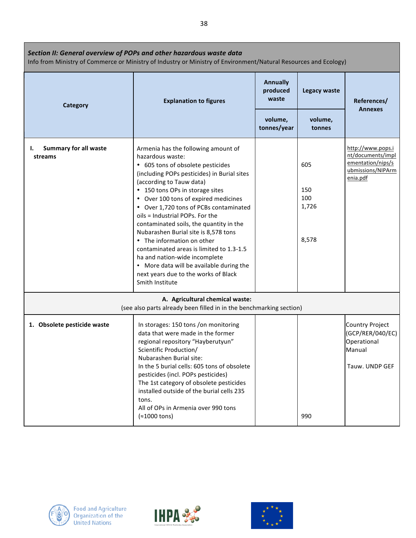| Section II: General overview of POPs and other hazardous waste data<br>Info from Ministry of Commerce or Ministry of Industry or Ministry of Environment/Natural Resources and Ecology) |                                                                                                                                                                                                                                                                                                                                                                                                                                                                                                                                                                                                                                      |                                      |                                     |                                                                                              |  |  |
|-----------------------------------------------------------------------------------------------------------------------------------------------------------------------------------------|--------------------------------------------------------------------------------------------------------------------------------------------------------------------------------------------------------------------------------------------------------------------------------------------------------------------------------------------------------------------------------------------------------------------------------------------------------------------------------------------------------------------------------------------------------------------------------------------------------------------------------------|--------------------------------------|-------------------------------------|----------------------------------------------------------------------------------------------|--|--|
| Category                                                                                                                                                                                | <b>Explanation to figures</b>                                                                                                                                                                                                                                                                                                                                                                                                                                                                                                                                                                                                        | <b>Annually</b><br>produced<br>waste | Legacy waste                        | References/                                                                                  |  |  |
|                                                                                                                                                                                         |                                                                                                                                                                                                                                                                                                                                                                                                                                                                                                                                                                                                                                      | volume,<br>tonnes/year               | volume,<br>tonnes                   | <b>Annexes</b>                                                                               |  |  |
| <b>Summary for all waste</b><br>ı.<br>streams                                                                                                                                           | Armenia has the following amount of<br>hazardous waste:<br>• 605 tons of obsolete pesticides<br>(including POPs pesticides) in Burial sites<br>(according to Tauw data)<br>• 150 tons OPs in storage sites<br>• Over 100 tons of expired medicines<br>• Over 1,720 tons of PCBs contaminated<br>oils = Industrial POPs. For the<br>contaminated soils, the quantity in the<br>Nubarashen Burial site is 8,578 tons<br>• The information on other<br>contaminated areas is limited to 1.3-1.5<br>ha and nation-wide incomplete<br>• More data will be available during the<br>next years due to the works of Black<br>Smith Institute |                                      | 605<br>150<br>100<br>1,726<br>8,578 | http://www.pops.i<br>nt/documents/impl<br>ementation/nips/s<br>ubmissions/NIPArm<br>enia.pdf |  |  |
|                                                                                                                                                                                         | A. Agricultural chemical waste:<br>(see also parts already been filled in in the benchmarking section)                                                                                                                                                                                                                                                                                                                                                                                                                                                                                                                               |                                      |                                     |                                                                                              |  |  |
| 1. Obsolete pesticide waste                                                                                                                                                             | In storages: 150 tons /on monitoring<br>data that were made in the former<br>regional repository "Hayberutyun"<br>Scientific Production/<br>Nubarashen Burial site:<br>In the 5 burial cells: 605 tons of obsolete<br>pesticides (incl. POPs pesticides)<br>The 1st category of obsolete pesticides<br>installed outside of the burial cells 235<br>tons.<br>All of OPs in Armenia over 990 tons<br>$(*1000 tons)$                                                                                                                                                                                                                   |                                      | 990                                 | <b>Country Project</b><br>(GCP/RER/040/EC)<br>Operational<br>Manual<br>Tauw. UNDP GEF        |  |  |





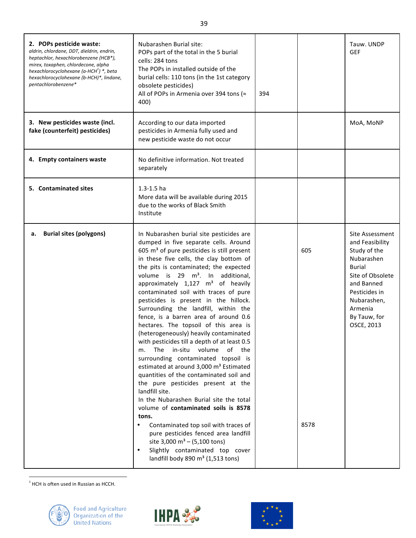| 2. POPs pesticide waste:<br>aldrin, chlordane, DDT, dieldrin, endrin,<br>heptachlor, hexachlorobenzene (HCB*),<br>mirex, toxaphen, chlordecone, alpha<br>hexachlorocyclohexane (a-HCH <sup>1</sup> ) *, beta<br>hexachlorocyclohexane (b-HCH)*, lindane,<br>pentachlorobenzene* | Nubarashen Burial site:<br>POPs part of the total in the 5 burial<br>cells: 284 tons<br>The POPs in installed outside of the<br>burial cells: 110 tons (in the 1st category<br>obsolete pesticides)<br>All of POPs in Armenia over 394 tons (≈<br>400)                                                                                                                                                                                                                                                                                                                                                                                                                                                                                                                                                                                                                                                                                                                                                                                                                                                                                                                                   | 394 |             | Tauw. UNDP<br><b>GEF</b>                                                                                                                                                                     |
|---------------------------------------------------------------------------------------------------------------------------------------------------------------------------------------------------------------------------------------------------------------------------------|------------------------------------------------------------------------------------------------------------------------------------------------------------------------------------------------------------------------------------------------------------------------------------------------------------------------------------------------------------------------------------------------------------------------------------------------------------------------------------------------------------------------------------------------------------------------------------------------------------------------------------------------------------------------------------------------------------------------------------------------------------------------------------------------------------------------------------------------------------------------------------------------------------------------------------------------------------------------------------------------------------------------------------------------------------------------------------------------------------------------------------------------------------------------------------------|-----|-------------|----------------------------------------------------------------------------------------------------------------------------------------------------------------------------------------------|
| 3. New pesticides waste (incl.<br>fake (counterfeit) pesticides)                                                                                                                                                                                                                | According to our data imported<br>pesticides in Armenia fully used and<br>new pesticide waste do not occur                                                                                                                                                                                                                                                                                                                                                                                                                                                                                                                                                                                                                                                                                                                                                                                                                                                                                                                                                                                                                                                                               |     |             | MoA, MoNP                                                                                                                                                                                    |
| 4. Empty containers waste                                                                                                                                                                                                                                                       | No definitive information. Not treated<br>separately                                                                                                                                                                                                                                                                                                                                                                                                                                                                                                                                                                                                                                                                                                                                                                                                                                                                                                                                                                                                                                                                                                                                     |     |             |                                                                                                                                                                                              |
| 5. Contaminated sites                                                                                                                                                                                                                                                           | $1.3 - 1.5$ ha<br>More data will be available during 2015<br>due to the works of Black Smith<br>Institute                                                                                                                                                                                                                                                                                                                                                                                                                                                                                                                                                                                                                                                                                                                                                                                                                                                                                                                                                                                                                                                                                |     |             |                                                                                                                                                                                              |
| <b>Burial sites (polygons)</b><br>а.                                                                                                                                                                                                                                            | In Nubarashen burial site pesticides are<br>dumped in five separate cells. Around<br>605 m <sup>3</sup> of pure pesticides is still present<br>in these five cells, the clay bottom of<br>the pits is contaminated; the expected<br>volume is 29 m <sup>3</sup> . In additional,<br>approximately 1,127 m <sup>3</sup> of heavily<br>contaminated soil with traces of pure<br>pesticides is present in the hillock.<br>Surrounding the landfill, within the<br>fence, is a barren area of around 0.6<br>hectares. The topsoil of this area is<br>(heterogeneously) heavily contaminated<br>with pesticides till a depth of at least 0.5<br>The in-situ volume<br>of the<br>m.<br>surrounding contaminated topsoil is<br>estimated at around 3,000 m <sup>3</sup> Estimated<br>quantities of the contaminated soil and<br>the pure pesticides present at the<br>landfill site.<br>In the Nubarashen Burial site the total<br>volume of contaminated soils is 8578<br>tons.<br>Contaminated top soil with traces of<br>pure pesticides fenced area landfill<br>site 3,000 $m^3 - (5,100 \text{ tons})$<br>Slightly contaminated top cover<br>landfill body 890 m <sup>3</sup> (1,513 tons) |     | 605<br>8578 | Site Assessment<br>and Feasibility<br>Study of the<br>Nubarashen<br><b>Burial</b><br>Site of Obsolete<br>and Banned<br>Pesticides in<br>Nubarashen,<br>Armenia<br>By Tauw, for<br>OSCE, 2013 |

 $<sup>1</sup>$  HCH is often used in Russian as HCCH.</sup>





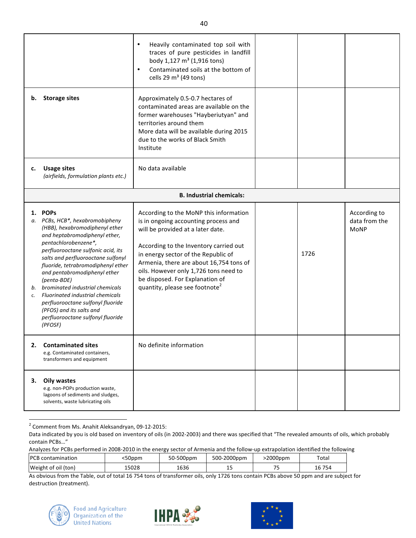| b.             | <b>Storage sites</b>                                                                                                                                                                                                                                                                                                                                                                                                                                                                               | Heavily contaminated top soil with<br>$\bullet$<br>traces of pure pesticides in landfill<br>body 1,127 m <sup>3</sup> (1,916 tons)<br>Contaminated soils at the bottom of<br>$\bullet$<br>cells 29 $m3$ (49 tons)<br>Approximately 0.5-0.7 hectares of<br>contaminated areas are available on the<br>former warehouses "Hayberiutyan" and<br>territories around them<br>More data will be available during 2015<br>due to the works of Black Smith<br>Institute |      |                                              |
|----------------|----------------------------------------------------------------------------------------------------------------------------------------------------------------------------------------------------------------------------------------------------------------------------------------------------------------------------------------------------------------------------------------------------------------------------------------------------------------------------------------------------|-----------------------------------------------------------------------------------------------------------------------------------------------------------------------------------------------------------------------------------------------------------------------------------------------------------------------------------------------------------------------------------------------------------------------------------------------------------------|------|----------------------------------------------|
| c.             | <b>Usage sites</b><br>(airfields, formulation plants etc.)                                                                                                                                                                                                                                                                                                                                                                                                                                         | No data available                                                                                                                                                                                                                                                                                                                                                                                                                                               |      |                                              |
|                |                                                                                                                                                                                                                                                                                                                                                                                                                                                                                                    | <b>B. Industrial chemicals:</b>                                                                                                                                                                                                                                                                                                                                                                                                                                 |      |                                              |
| а.<br>b.<br>c. | 1. POPs<br>PCBs, HCB*, hexabromobipheny<br>(HBB), hexabromodiphenyl ether<br>and heptabromodiphenyl ether,<br>pentachlorobenzene*,<br>perfluorooctane sulfonic acid, its<br>salts and perfluorooctane sulfonyl<br>fluoride, tetrabromodiphenyl ether<br>and pentabromodiphenyl ether<br>(penta-BDE)<br>brominated industrial chemicals<br><b>Fluorinated industrial chemicals</b><br>perfluorooctane sulfonyl fluoride<br>(PFOS) and its salts and<br>perfluorooctane sulfonyl fluoride<br>(PFOSF) | According to the MoNP this information<br>is in ongoing accounting process and<br>will be provided at a later date.<br>According to the Inventory carried out<br>in energy sector of the Republic of<br>Armenia, there are about 16,754 tons of<br>oils. However only 1,726 tons need to<br>be disposed. For Explanation of<br>quantity, please see footnote <sup>2</sup>                                                                                       | 1726 | According to<br>data from the<br><b>MoNP</b> |
| 2.             | <b>Contaminated sites</b><br>e.g. Contaminated containers,<br>transformers and equipment                                                                                                                                                                                                                                                                                                                                                                                                           | No definite information                                                                                                                                                                                                                                                                                                                                                                                                                                         |      |                                              |
| З.             | <b>Oily wastes</b><br>e.g. non-POPs production waste,<br>lagoons of sediments and sludges,<br>solvents, waste lubricating oils                                                                                                                                                                                                                                                                                                                                                                     |                                                                                                                                                                                                                                                                                                                                                                                                                                                                 |      |                                              |

2 Comment from Ms. Anahit Aleksandryan, 09-12-2015:

Analyzes for PCBs performed in 2008-2010 in the energy sector of Armenia and the follow-up extrapolation identified the following

| PCB<br>contamination | 50ppm | 50-500ppm | 500-2000ppm | 2000ppm | Total                     |
|----------------------|-------|-----------|-------------|---------|---------------------------|
| Weight of oil (ton)  | 15028 | 1636      | --          | --      | $\overline{ }$<br>16 / 54 |

As obvious from the Table, out of total 16 754 tons of transformer oils, only 1726 tons contain PCBs above 50 ppm and are subject for destruction (treatment).







Data indicated by you is old based on inventory of oils (in 2002-2003) and there was specified that "The revealed amounts of oils, which probably contain PCBs…"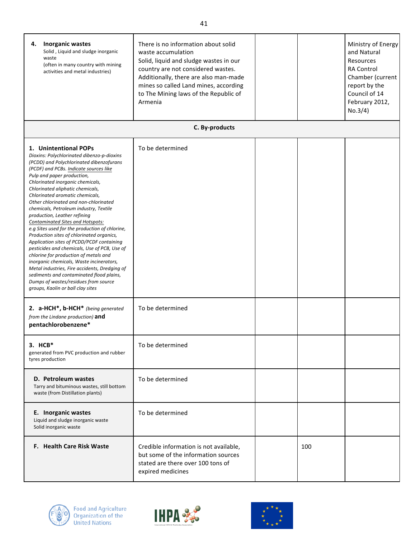| <b>Inorganic wastes</b><br>4.<br>Solid, Liquid and sludge inorganic<br>waste<br>(often in many country with mining<br>activities and metal industries)                                                                                                                                                                                                                                                                                                                                                                                                                                                                                                                                                                                                                                                                                                                                                               | There is no information about solid<br>waste accumulation<br>Solid, liquid and sludge wastes in our<br>country are not considered wastes.<br>Additionally, there are also man-made<br>mines so called Land mines, according<br>to The Mining laws of the Republic of<br>Armenia |     | Ministry of Energy<br>and Natural<br>Resources<br><b>RA Control</b><br>Chamber (current<br>report by the<br>Council of 14<br>February 2012,<br>No.3/4) |
|----------------------------------------------------------------------------------------------------------------------------------------------------------------------------------------------------------------------------------------------------------------------------------------------------------------------------------------------------------------------------------------------------------------------------------------------------------------------------------------------------------------------------------------------------------------------------------------------------------------------------------------------------------------------------------------------------------------------------------------------------------------------------------------------------------------------------------------------------------------------------------------------------------------------|---------------------------------------------------------------------------------------------------------------------------------------------------------------------------------------------------------------------------------------------------------------------------------|-----|--------------------------------------------------------------------------------------------------------------------------------------------------------|
|                                                                                                                                                                                                                                                                                                                                                                                                                                                                                                                                                                                                                                                                                                                                                                                                                                                                                                                      | C. By-products                                                                                                                                                                                                                                                                  |     |                                                                                                                                                        |
| 1. Unintentional POPs<br>Dioxins: Polychlorinated dibenzo-p-dioxins<br>(PCDD) and Polychlorinated dibenzofurans<br>(PCDF) and PCBs. Indicate sources like<br>Pulp and paper production,<br>Chlorinated inorganic chemicals,<br>Chlorinated aliphatic chemicals,<br>Chlorinated aromatic chemicals,<br>Other chlorinated and non-chlorinated<br>chemicals, Petroleum industry, Textile<br>production, Leather refining<br>Contaminated Sites and Hotspots:<br>e.g Sites used for the production of chlorine,<br>Production sites of chlorinated organics,<br>Application sites of PCDD/PCDF containing<br>pesticides and chemicals, Use of PCB, Use of<br>chlorine for production of metals and<br>inorganic chemicals, Waste incinerators,<br>Metal industries, Fire accidents, Dredging of<br>sediments and contaminated flood plains,<br>Dumps of wastes/residues from source<br>groups, Kaolin or ball clay sites | To be determined                                                                                                                                                                                                                                                                |     |                                                                                                                                                        |
| 2. a-HCH*, b-HCH* (being generated<br>from the Lindane production) and<br>pentachlorobenzene*                                                                                                                                                                                                                                                                                                                                                                                                                                                                                                                                                                                                                                                                                                                                                                                                                        | To be determined                                                                                                                                                                                                                                                                |     |                                                                                                                                                        |
| $3.$ HCB*<br>generated from PVC production and rubber<br>tyres production                                                                                                                                                                                                                                                                                                                                                                                                                                                                                                                                                                                                                                                                                                                                                                                                                                            | To be determined                                                                                                                                                                                                                                                                |     |                                                                                                                                                        |
| D. Petroleum wastes<br>Tarry and bituminous wastes, still bottom<br>waste (from Distillation plants)                                                                                                                                                                                                                                                                                                                                                                                                                                                                                                                                                                                                                                                                                                                                                                                                                 | To be determined                                                                                                                                                                                                                                                                |     |                                                                                                                                                        |
| E. Inorganic wastes<br>Liquid and sludge inorganic waste<br>Solid inorganic waste                                                                                                                                                                                                                                                                                                                                                                                                                                                                                                                                                                                                                                                                                                                                                                                                                                    | To be determined                                                                                                                                                                                                                                                                |     |                                                                                                                                                        |
| <b>F. Health Care Risk Waste</b>                                                                                                                                                                                                                                                                                                                                                                                                                                                                                                                                                                                                                                                                                                                                                                                                                                                                                     | Credible information is not available,<br>but some of the information sources<br>stated are there over 100 tons of<br>expired medicines                                                                                                                                         | 100 |                                                                                                                                                        |





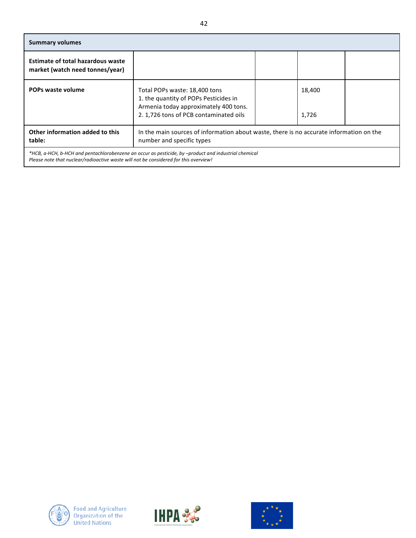| <b>Summary volumes</b>                                                                                                                                                                       |                                                                                                                                                           |  |                 |  |  |
|----------------------------------------------------------------------------------------------------------------------------------------------------------------------------------------------|-----------------------------------------------------------------------------------------------------------------------------------------------------------|--|-----------------|--|--|
| <b>Estimate of total hazardous waste</b><br>market (watch need tonnes/year)                                                                                                                  |                                                                                                                                                           |  |                 |  |  |
| POPs waste volume                                                                                                                                                                            | Total POPs waste: 18,400 tons<br>1. the quantity of POPs Pesticides in<br>Armenia today approximately 400 tons.<br>2. 1,726 tons of PCB contaminated oils |  | 18,400<br>1,726 |  |  |
| Other information added to this<br>table:                                                                                                                                                    | In the main sources of information about waste, there is no accurate information on the<br>number and specific types                                      |  |                 |  |  |
| *HCB, a-HCH, b-HCH and pentachlorobenzene an occur as pesticide, by -product and industrial chemical<br>Please note that nuclear/radioactive waste will not be considered for this overview! |                                                                                                                                                           |  |                 |  |  |





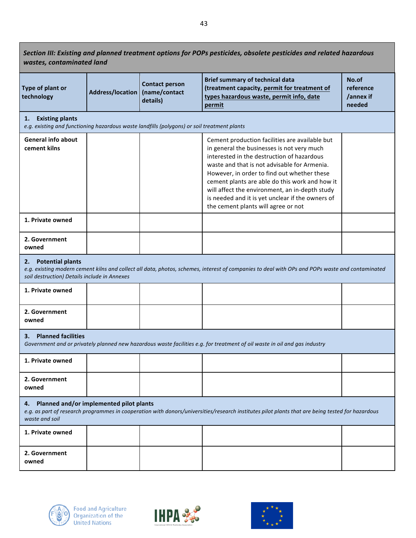Section III: Existing and planned treatment options for POPs pesticides, obsolete pesticides and related hazardous *wastes, contaminated land*

| Type of plant or<br>technology | Address/location   (name/contact | <b>Contact person</b><br>details) | <b>Brief summary of technical data</b><br>(treatment capacity, permit for treatment of<br>types hazardous waste, permit info, date<br>permit | No.of<br>reference<br>/annex if<br>needed |
|--------------------------------|----------------------------------|-----------------------------------|----------------------------------------------------------------------------------------------------------------------------------------------|-------------------------------------------|
|--------------------------------|----------------------------------|-----------------------------------|----------------------------------------------------------------------------------------------------------------------------------------------|-------------------------------------------|

#### 1. **Existing plants**

*e.g.* existing and functioning hazardous waste landfills (polygons) or soil treatment plants

| c.g. choding and fanctioning nazarabas waste randfins (porygons) or son treatment plants |  |  |                                                                                                                                                                                                                                                                                                                                                                                                                                          |  |
|------------------------------------------------------------------------------------------|--|--|------------------------------------------------------------------------------------------------------------------------------------------------------------------------------------------------------------------------------------------------------------------------------------------------------------------------------------------------------------------------------------------------------------------------------------------|--|
| <b>General info about</b><br>cement kilns                                                |  |  | Cement production facilities are available but<br>in general the businesses is not very much<br>interested in the destruction of hazardous<br>waste and that is not advisable for Armenia.<br>However, in order to find out whether these<br>cement plants are able do this work and how it<br>will affect the environment, an in-depth study<br>is needed and it is yet unclear if the owners of<br>the cement plants will agree or not |  |
| 1. Private owned                                                                         |  |  |                                                                                                                                                                                                                                                                                                                                                                                                                                          |  |
| 2. Government<br>owned                                                                   |  |  |                                                                                                                                                                                                                                                                                                                                                                                                                                          |  |

#### **2.** Potential plants

e.g. existing modern cement kilns and collect all data, photos, schemes, interest of companies to deal with OPs and POPs waste and contaminated *soil destruction) Details include in Annexes*

| 1. Private owned       |  |  |
|------------------------|--|--|
| 2. Government<br>owned |  |  |

### **3. Planned facilities**

Government and or privately planned new hazardous waste facilities e.g. for treatment of oil waste in oil and gas industry

| 1. Private owned       |  |  |
|------------------------|--|--|
| 2. Government<br>owned |  |  |

#### **4. Planned and/or implemented pilot plants**

e.g. as part of research programmes in cooperation with donors/universities/research institutes pilot plants that are being tested for hazardous *waste and soil*

| 1. Private owned       |  |  |
|------------------------|--|--|
| 2. Government<br>owned |  |  |





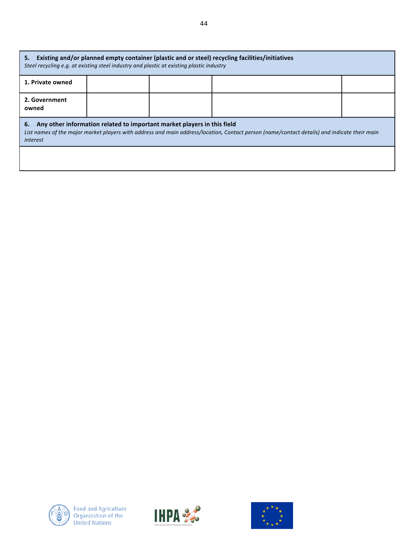| Existing and/or planned empty container (plastic and or steel) recycling facilities/initiatives<br>5.<br>Steel recycling e.g. at existing steel industry and plastic at existing plastic industry                                         |  |  |  |  |  |
|-------------------------------------------------------------------------------------------------------------------------------------------------------------------------------------------------------------------------------------------|--|--|--|--|--|
| 1. Private owned                                                                                                                                                                                                                          |  |  |  |  |  |
| 2. Government<br>owned                                                                                                                                                                                                                    |  |  |  |  |  |
| Any other information related to important market players in this field<br>6.<br>List names of the major market players with address and main address/location, Contact person (name/contact details) and indicate their main<br>interest |  |  |  |  |  |
|                                                                                                                                                                                                                                           |  |  |  |  |  |



 $\mathbf l$ 



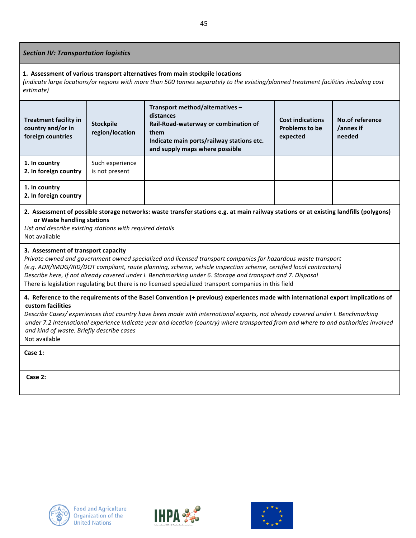### **Section IV: Transportation logistics**

#### 1. Assessment of various transport alternatives from main stockpile locations

*(indicate large locations/or regions with more than 500 tonnes separately to the existing/planned treatment facilities including cost estimate)*

| <b>Treatment facility in</b><br>country and/or in<br>foreign countries | <b>Stockpile</b><br>region/location | Transport method/alternatives -<br>distances<br>Rail-Road-waterway or combination of<br>them<br>Indicate main ports/railway stations etc.<br>and supply maps where possible | <b>Cost indications</b><br><b>Problems to be</b><br>expected | No.of reference<br>/annex if<br>needed |
|------------------------------------------------------------------------|-------------------------------------|-----------------------------------------------------------------------------------------------------------------------------------------------------------------------------|--------------------------------------------------------------|----------------------------------------|
| 1. In country<br>2. In foreign country                                 | Such experience<br>is not present   |                                                                                                                                                                             |                                                              |                                        |
| 1. In country<br>2. In foreign country                                 |                                     |                                                                                                                                                                             |                                                              |                                        |

### 2. Assessment of possible storage networks: waste transfer stations e.g. at main railway stations or at existing landfills (polygons) **or Waste handling stations**

List and describe existing stations with required details Not available

### **3. Assessment of transport capacity**

*Private* owned and government owned specialized and licensed transport companies for hazardous waste transport *(e.g. ADR/IMDG/RID/DOT compliant, route planning, scheme, vehicle inspection scheme, certified local contractors) Describe here, if not already covered under I. Benchmarking under 6. Storage and transport and 7. Disposal* There is legislation regulating but there is no licensed specialized transport companies in this field

### 4. Reference to the requirements of the Basel Convention (+ previous) experiences made with international export Implications of **custom facilities**

Describe Cases/ experiences that country have been made with international exports, not already covered under I. Benchmarking *under 7.2* International experience Indicate year and location (country) where transported from and where to and authorities involved *and kind of waste. Briefly describe cases* Not available

**Case 1:**

**Case 2:**





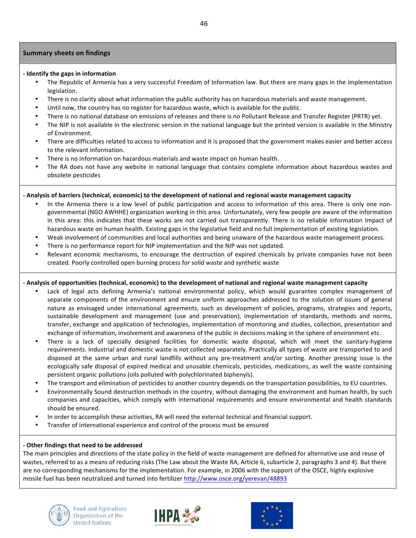### **Summary sheets on findings**

### **- Identify the gaps in information**

- The Republic of Armenia has a very successful Freedom of Information law. But there are many gaps in the implementation legislation.
- There is no clarity about what information the public authority has on hazardous materials and waste management.
- Until now, the country has no register for hazardous waste, which is available for the public.
- There is no national database on emissions of releases and there is no Pollutant Release and Transfer Register (PRTR) yet.
- The NIP is not available in the electronic version in the national language but the printed version is available in the Ministry of Environment.
- There are difficulties related to access to information and it is proposed that the government makes easier and better access to the relevant information.
- There is no information on hazardous materials and waste impact on human health.
- The RA does not have any website in national language that contains complete information about hazardous wastes and obsolete pesticides

### **- Analysis of barriers (technical, economic) to the development of national and regional waste management capacity**

- In the Armenia there is a low level of public participation and access to information of this area. There is only one nongovernmental (NGO AWHHE) organization working in this area. Unfortunately, very few people are aware of the information in this area: this indicates that these works are not carried out transparently. There is no reliable information Impact of hazardous waste on human health. Existing gaps in the legislative field and no full implementation of existing legislation.
- Weak involvement of communities and local authorities and being unaware of the hazardous waste management process.
- There is no performance report for NIP implementation and the NIP was not updated.
- Relevant economic mechanisms, to encourage the destruction of expired chemicals by private companies have not been created. Poorly controlled open burning process for solid waste and synthetic waste

### **- Analysis of opportunities (technical, economic) to the development of national and regional waste management capacity**

- Lack of legal acts defining Armenia's national environmental policy, which would guarantee complex management of separate components of the environment and ensure uniform approaches addressed to the solution of issues of general nature as envisaged under international agreements, such as development of policies, programs, strategies and reports, sustainable development and management (use and preservation), implementation of standards, methods and norms, transfer, exchange and application of technologies, implementation of monitoring and studies, collection, presentation and exchange of information, involvement and awareness of the public in decisions making in the sphere of environment etc.
- There is a lack of specially designed facilities for domestic waste disposal, which will meet the sanitary-hygiene requirements. Industrial and domestic waste is not collected separately. Practically all types of waste are transported to and disposed at the same urban and rural landfills without any pre-treatment and/or sorting. Another pressing issue is the ecologically safe disposal of expired medical and unusable chemicals, pesticides, medications, as well the waste containing persistent organic pollutions (oils polluted with polychlorinated biphenyls).
- The transport and elimination of pesticides to another country depends on the transportation possibilities, to EU countries.
- Environmentally Sound destruction methods in the country, without damaging the environment and human health, by such companies and capacities, which comply with international requirements and ensure environmental and health standards should be ensured.
- In order to accomplish these activities, RA will need the external technical and financial support.
- Transfer of international experience and control of the process must be ensured

### **- Other findings that need to be addressed**

The main principles and directions of the state policy in the field of waste management are defined for alternative use and reuse of wastes, referred to as a means of reducing risks (The Law about the Waste RA, Article 6, subarticle 2, paragraphs 3 and 4). But there are no corresponding mechanisms for the implementation. For example, in 2006 with the support of the OSCE, highly explosive missile fuel has been neutralized and turned into fertilizer http://www.osce.org/yerevan/48893





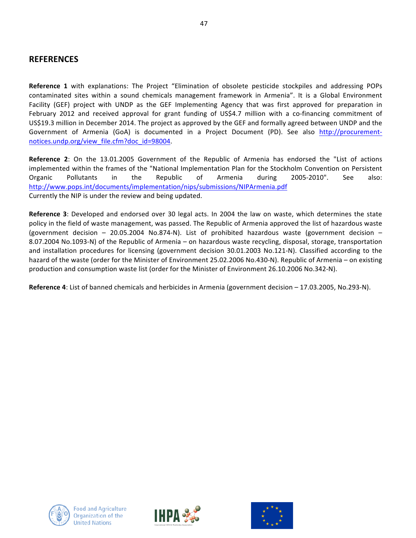# **REFERENCES**

**Reference 1** with explanations: The Project "Elimination of obsolete pesticide stockpiles and addressing POPs contaminated sites within a sound chemicals management framework in Armenia". It is a Global Environment Facility (GEF) project with UNDP as the GEF Implementing Agency that was first approved for preparation in February 2012 and received approval for grant funding of US\$4.7 million with a co-financing commitment of US\$19.3 million in December 2014. The project as approved by the GEF and formally agreed between UNDP and the Government of Armenia (GoA) is documented in a Project Document (PD). See also http://procurementnotices.undp.org/view file.cfm?doc\_id=98004.

**Reference 2**: On the 13.01.2005 Government of the Republic of Armenia has endorsed the "List of actions implemented within the frames of the "National Implementation Plan for the Stockholm Convention on Persistent Organic Pollutants in the Republic of Armenia during 2005-2010". See also: http://www.pops.int/documents/implementation/nips/submissions/NIPArmenia.pdf Currently the NIP is under the review and being updated.

**Reference 3**: Developed and endorsed over 30 legal acts. In 2004 the law on waste, which determines the state policy in the field of waste management, was passed. The Republic of Armenia approved the list of hazardous waste (government decision  $-$  20.05.2004 No.874-N). List of prohibited hazardous waste (government decision  $-$ 8.07.2004 No.1093-N) of the Republic of Armenia – on hazardous waste recycling, disposal, storage, transportation and installation procedures for licensing (government decision 30.01.2003 No.121-N). Classified according to the hazard of the waste (order for the Minister of Environment 25.02.2006 No.430-N). Republic of Armenia – on existing production and consumption waste list (order for the Minister of Environment 26.10.2006 No.342-N).

**Reference 4**: List of banned chemicals and herbicides in Armenia (government decision – 17.03.2005, No.293-N).





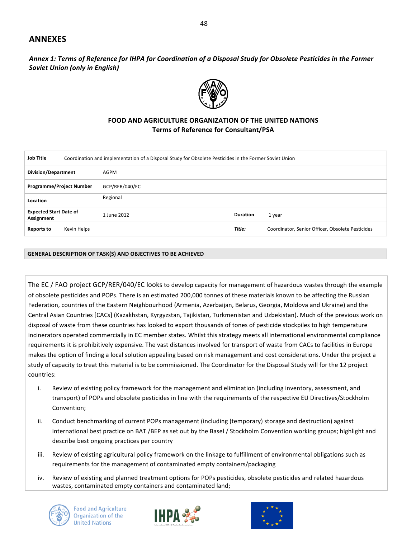## **ANNEXES**

Annex 1: Terms of Reference for IHPA for Coordination of a Disposal Study for Obsolete Pesticides in the Former **Soviet Union (only in English)** 



### **FOOD AND AGRICULTURE ORGANIZATION OF THE UNITED NATIONS Terms of Reference for Consultant/PSA**

| <b>Job Title</b><br>Coordination and implementation of a Disposal Study for Obsolete Pesticides in the Former Soviet Union |                |                 |                                                  |  |
|----------------------------------------------------------------------------------------------------------------------------|----------------|-----------------|--------------------------------------------------|--|
| <b>Division/Department</b>                                                                                                 | AGPM           |                 |                                                  |  |
| <b>Programme/Project Number</b>                                                                                            | GCP/RER/040/EC |                 |                                                  |  |
| Location                                                                                                                   | Regional       |                 |                                                  |  |
| <b>Expected Start Date of</b><br>Assignment                                                                                | 1 June 2012    | <b>Duration</b> | 1 year                                           |  |
| Kevin Helps<br><b>Reports to</b>                                                                                           |                | Title:          | Coordinator, Senior Officer, Obsolete Pesticides |  |

#### **GENERAL DESCRIPTION OF TASK(S) AND OBJECTIVES TO BE ACHIEVED**

The EC / FAO project GCP/RER/040/EC looks to develop capacity for management of hazardous wastes through the example of obsolete pesticides and POPs. There is an estimated 200,000 tonnes of these materials known to be affecting the Russian Federation, countries of the Eastern Neighbourhood (Armenia, Azerbaijan, Belarus, Georgia, Moldova and Ukraine) and the Central Asian Countries [CACs] (Kazakhstan, Kyrgyzstan, Tajikistan, Turkmenistan and Uzbekistan). Much of the previous work on disposal of waste from these countries has looked to export thousands of tones of pesticide stockpiles to high temperature incinerators operated commercially in EC member states. Whilst this strategy meets all international environmental compliance requirements it is prohibitively expensive. The vast distances involved for transport of waste from CACs to facilities in Europe makes the option of finding a local solution appealing based on risk management and cost considerations. Under the project a study of capacity to treat this material is to be commissioned. The Coordinator for the Disposal Study will for the 12 project countries:

- i. Review of existing policy framework for the management and elimination (including inventory, assessment, and transport) of POPs and obsolete pesticides in line with the requirements of the respective EU Directives/Stockholm Convention;
- ii. Conduct benchmarking of current POPs management (including (temporary) storage and destruction) against international best practice on BAT /BEP as set out by the Basel / Stockholm Convention working groups; highlight and describe best ongoing practices per country
- iii. Review of existing agricultural policy framework on the linkage to fulfillment of environmental obligations such as requirements for the management of contaminated empty containers/packaging
- iv. Review of existing and planned treatment options for POPs pesticides, obsolete pesticides and related hazardous wastes, contaminated empty containers and contaminated land;





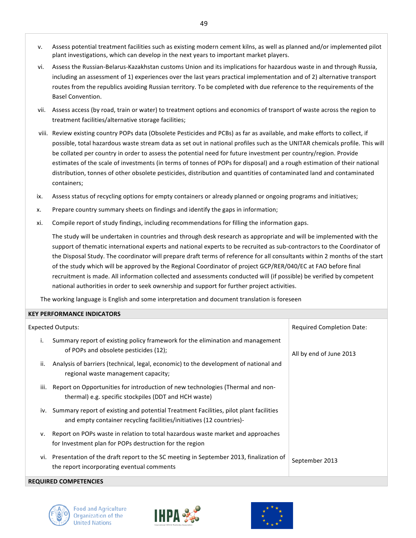- v. Assess potential treatment facilities such as existing modern cement kilns, as well as planned and/or implemented pilot plant investigations, which can develop in the next years to important market players.
- vi. Assess the Russian-Belarus-Kazakhstan customs Union and its implications for hazardous waste in and through Russia, including an assessment of 1) experiences over the last years practical implementation and of 2) alternative transport routes from the republics avoiding Russian territory. To be completed with due reference to the requirements of the Basel Convention.
- vii. Assess access (by road, train or water) to treatment options and economics of transport of waste across the region to treatment facilities/alternative storage facilities;
- viii. Review existing country POPs data (Obsolete Pesticides and PCBs) as far as available, and make efforts to collect, if possible, total hazardous waste stream data as set out in national profiles such as the UNITAR chemicals profile. This will be collated per country in order to assess the potential need for future investment per country/region. Provide estimates of the scale of investments (in terms of tonnes of POPs for disposal) and a rough estimation of their national distribution, tonnes of other obsolete pesticides, distribution and quantities of contaminated land and contaminated containers;
- ix. Assess status of recycling options for empty containers or already planned or ongoing programs and initiatives;
- x. Prepare country summary sheets on findings and identify the gaps in information;
- xi. Compile report of study findings, including recommendations for filling the information gaps.

The study will be undertaken in countries and through desk research as appropriate and will be implemented with the support of thematic international experts and national experts to be recruited as sub-contractors to the Coordinator of the Disposal Study. The coordinator will prepare draft terms of reference for all consultants within 2 months of the start of the study which will be approved by the Regional Coordinator of project GCP/RER/040/EC at FAO before final recruitment is made. All information collected and assessments conducted will (if possible) be verified by competent national authorities in order to seek ownership and support for further project activities.

The working language is English and some interpretation and document translation is foreseen

### **KEY PERFORMANCE INDICATORS**

| <b>Expected Outputs:</b>                                                                                                                                          | <b>Required Completion Date:</b> |  |
|-------------------------------------------------------------------------------------------------------------------------------------------------------------------|----------------------------------|--|
| Summary report of existing policy framework for the elimination and management<br>İ.<br>of POPs and obsolete pesticides (12);                                     | All by end of June 2013          |  |
| Analysis of barriers (technical, legal, economic) to the development of national and<br>ii.<br>regional waste management capacity;                                |                                  |  |
| Report on Opportunities for introduction of new technologies (Thermal and non-<br>iii.<br>thermal) e.g. specific stockpiles (DDT and HCH waste)                   |                                  |  |
| iv. Summary report of existing and potential Treatment Facilities, pilot plant facilities<br>and empty container recycling facilities/initiatives (12 countries)- |                                  |  |
| Report on POPs waste in relation to total hazardous waste market and approaches<br>v.<br>for Investment plan for POPs destruction for the region                  |                                  |  |
| vi. Presentation of the draft report to the SC meeting in September 2013, finalization of<br>the report incorporating eventual comments                           | September 2013                   |  |
| <b>REQUIRED COMPETENCIES</b>                                                                                                                                      |                                  |  |